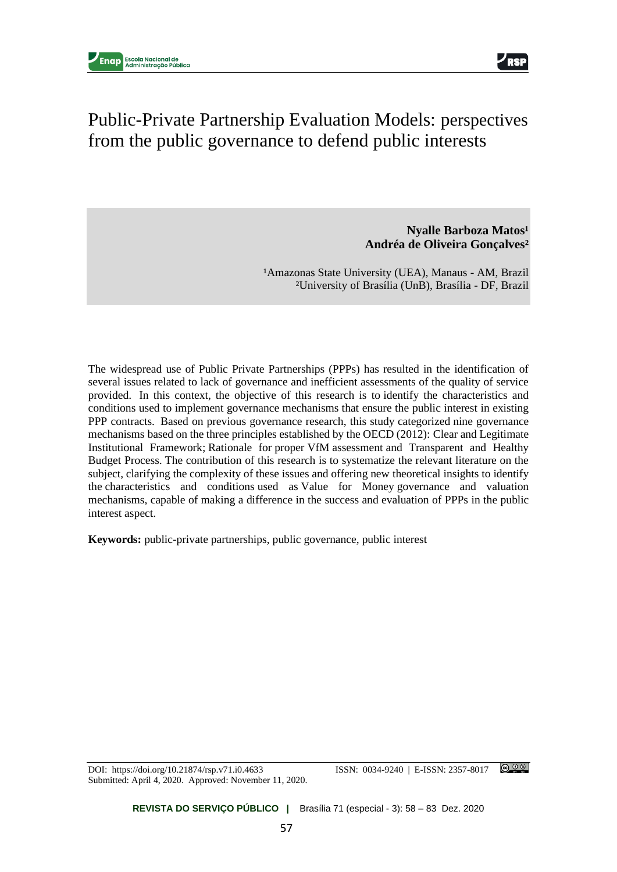

# Public-Private Partnership Evaluation Models: perspectives from the public governance to defend public interests

## **Nyalle Barboza Matos<sup>1</sup> Andréa de Oliveira Gonçalves²**

<sup>1</sup>Amazonas State University (UEA), Manaus - AM, Brazil ²University of Brasília (UnB), Brasília - DF, Brazil

The widespread use of Public Private Partnerships (PPPs) has resulted in the identification of several issues related to lack of governance and inefficient assessments of the quality of service provided. In this context, the objective of this research is to identify the characteristics and conditions used to implement governance mechanisms that ensure the public interest in existing PPP contracts. Based on previous governance research, this study categorized nine governance mechanisms based on the three principles established by the OECD (2012): Clear and Legitimate Institutional Framework; Rationale for proper VfM assessment and Transparent and Healthy Budget Process. The contribution of this research is to systematize the relevant literature on the subject, clarifying the complexity of these issues and offering new theoretical insights to identify the characteristics and conditions used as Value for Money governance and valuation mechanisms, capable of making a difference in the success and evaluation of PPPs in the public interest aspect.

**Keywords:** public-private partnerships, public governance, public interest

Submitted: April 4, 2020. Approved: November 11, 2020.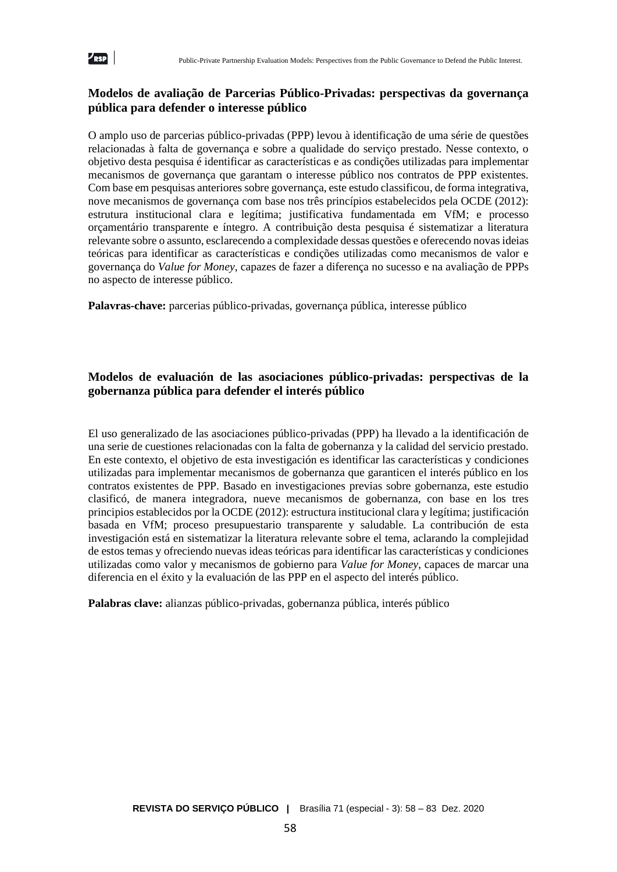

## **Modelos de avaliação de Parcerias Público-Privadas: perspectivas da governança pública para defender o interesse público**

O amplo uso de parcerias público-privadas (PPP) levou à identificação de uma série de questões relacionadas à falta de governança e sobre a qualidade do serviço prestado. Nesse contexto, o objetivo desta pesquisa é identificar as características e as condições utilizadas para implementar mecanismos de governança que garantam o interesse público nos contratos de PPP existentes. Com base em pesquisas anteriores sobre governança, este estudo classificou, de forma integrativa, nove mecanismos de governança com base nos três princípios estabelecidos pela OCDE (2012): estrutura institucional clara e legítima; justificativa fundamentada em VfM; e processo orçamentário transparente e íntegro. A contribuição desta pesquisa é sistematizar a literatura relevante sobre o assunto, esclarecendo a complexidade dessas questões e oferecendo novas ideias teóricas para identificar as características e condições utilizadas como mecanismos de valor e governança do *Value for Money*, capazes de fazer a diferença no sucesso e na avaliação de PPPs no aspecto de interesse público.

**Palavras-chave:** parcerias público-privadas, governança pública, interesse público

## **Modelos de evaluación de las asociaciones público-privadas: perspectivas de la gobernanza pública para defender el interés público**

El uso generalizado de las asociaciones público-privadas (PPP) ha llevado a la identificación de una serie de cuestiones relacionadas con la falta de gobernanza y la calidad del servicio prestado. En este contexto, el objetivo de esta investigación es identificar las características y condiciones utilizadas para implementar mecanismos de gobernanza que garanticen el interés público en los contratos existentes de PPP. Basado en investigaciones previas sobre gobernanza, este estudio clasificó, de manera integradora, nueve mecanismos de gobernanza, con base en los tres principios establecidos por la OCDE (2012): estructura institucional clara y legítima; justificación basada en VfM; proceso presupuestario transparente y saludable. La contribución de esta investigación está en sistematizar la literatura relevante sobre el tema, aclarando la complejidad de estos temas y ofreciendo nuevas ideas teóricas para identificar las características y condiciones utilizadas como valor y mecanismos de gobierno para *Value for Money*, capaces de marcar una diferencia en el éxito y la evaluación de las PPP en el aspecto del interés público.

**Palabras clave:** alianzas público-privadas, gobernanza pública, interés público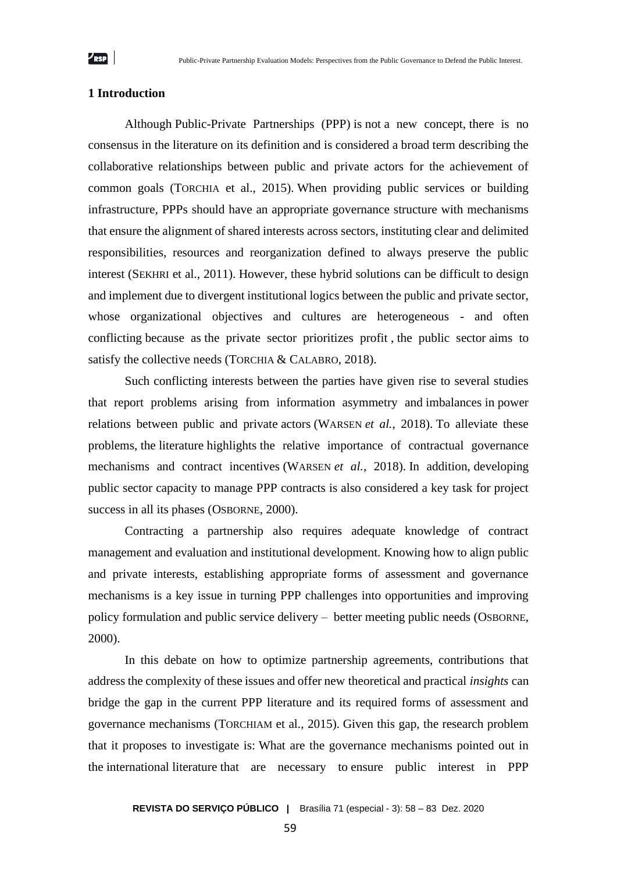## **1 Introduction**

Although Public-Private Partnerships (PPP) is not a new concept, there is no consensus in the literature on its definition and is considered a broad term describing the collaborative relationships between public and private actors for the achievement of common goals (TORCHIA et al., 2015). When providing public services or building infrastructure, PPPs should have an appropriate governance structure with mechanisms that ensure the alignment of shared interests across sectors, instituting clear and delimited responsibilities, resources and reorganization defined to always preserve the public interest (SEKHRI et al., 2011). However, these hybrid solutions can be difficult to design and implement due to divergent institutional logics between the public and private sector, whose organizational objectives and cultures are heterogeneous - and often conflicting because as the private sector prioritizes profit , the public sector aims to satisfy the collective needs (TORCHIA & CALABRO, 2018).

Such conflicting interests between the parties have given rise to several studies that report problems arising from information asymmetry and imbalances in power relations between public and private actors (WARSEN *et al.*, 2018). To alleviate these problems, the literature highlights the relative importance of contractual governance mechanisms and contract incentives (WARSEN *et al.*, 2018). In addition, developing public sector capacity to manage PPP contracts is also considered a key task for project success in all its phases (OSBORNE, 2000).

Contracting a partnership also requires adequate knowledge of contract management and evaluation and institutional development. Knowing how to align public and private interests, establishing appropriate forms of assessment and governance mechanisms is a key issue in turning PPP challenges into opportunities and improving policy formulation and public service delivery – better meeting public needs (OSBORNE, 2000).

In this debate on how to optimize partnership agreements, contributions that address the complexity of these issues and offer new theoretical and practical *insights* can bridge the gap in the current PPP literature and its required forms of assessment and governance mechanisms (TORCHIAM et al., 2015). Given this gap, the research problem that it proposes to investigate is: What are the governance mechanisms pointed out in the international literature that are necessary to ensure public interest in PPP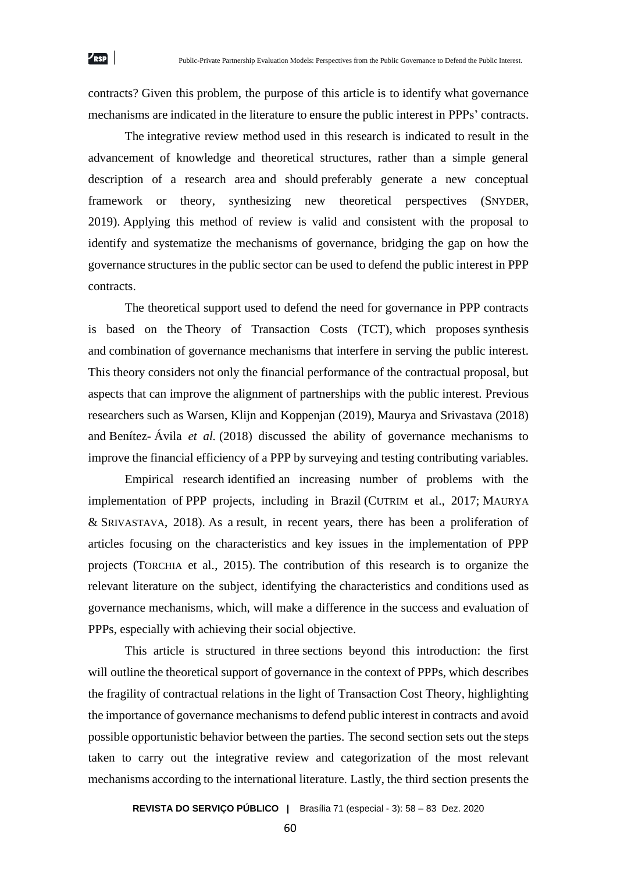contracts? Given this problem, the purpose of this article is to identify what governance mechanisms are indicated in the literature to ensure the public interest in PPPs' contracts.

The integrative review method used in this research is indicated to result in the advancement of knowledge and theoretical structures, rather than a simple general description of a research area and should preferably generate a new conceptual framework or theory, synthesizing new theoretical perspectives (SNYDER, 2019). Applying this method of review is valid and consistent with the proposal to identify and systematize the mechanisms of governance, bridging the gap on how the governance structures in the public sector can be used to defend the public interest in PPP contracts.

The theoretical support used to defend the need for governance in PPP contracts is based on the Theory of Transaction Costs (TCT), which proposes synthesis and combination of governance mechanisms that interfere in serving the public interest. This theory considers not only the financial performance of the contractual proposal, but aspects that can improve the alignment of partnerships with the public interest. Previous researchers such as Warsen, Klijn and Koppenjan (2019), Maurya and Srivastava (2018) and Benítez- Ávila *et al.* (2018) discussed the ability of governance mechanisms to improve the financial efficiency of a PPP by surveying and testing contributing variables.

Empirical research identified an increasing number of problems with the implementation of PPP projects, including in Brazil (CUTRIM et al., 2017; MAURYA & SRIVASTAVA, 2018). As a result, in recent years, there has been a proliferation of articles focusing on the characteristics and key issues in the implementation of PPP projects (TORCHIA et al., 2015). The contribution of this research is to organize the relevant literature on the subject, identifying the characteristics and conditions used as governance mechanisms*,* which, will make a difference in the success and evaluation of PPPs, especially with achieving their social objective.

This article is structured in three sections beyond this introduction: the first will outline the theoretical support of governance in the context of PPPs, which describes the fragility of contractual relations in the light of Transaction Cost Theory, highlighting the importance of governance mechanisms to defend public interest in contracts and avoid possible opportunistic behavior between the parties. The second section sets out the steps taken to carry out the integrative review and categorization of the most relevant mechanisms according to the international literature. Lastly, the third section presents the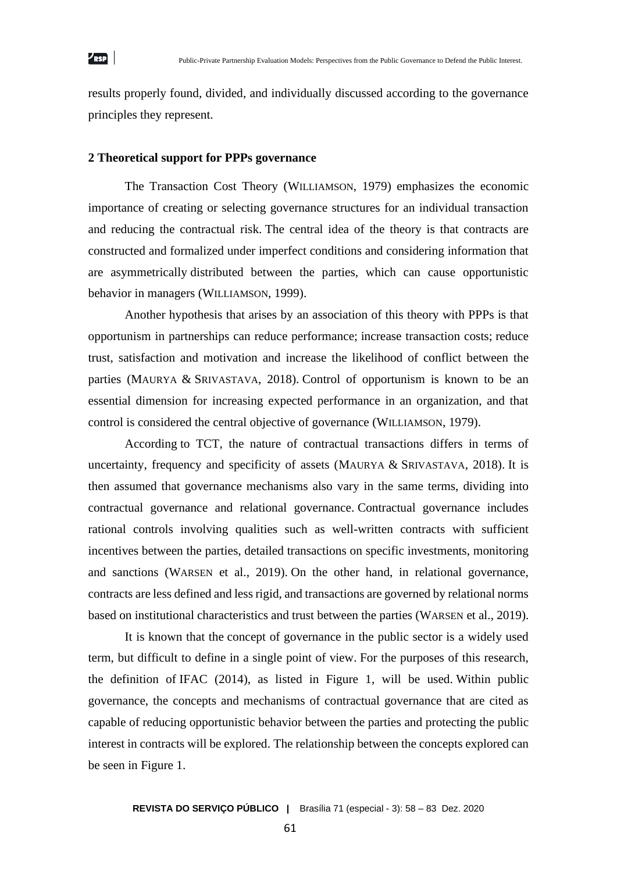results properly found, divided, and individually discussed according to the governance principles they represent.

#### **2 Theoretical support for PPPs governance**

The Transaction Cost Theory (WILLIAMSON, 1979) emphasizes the economic importance of creating or selecting governance structures for an individual transaction and reducing the contractual risk. The central idea of the theory is that contracts are constructed and formalized under imperfect conditions and considering information that are asymmetrically distributed between the parties, which can cause opportunistic behavior in managers (WILLIAMSON, 1999).

Another hypothesis that arises by an association of this theory with PPPs is that opportunism in partnerships can reduce performance; increase transaction costs; reduce trust, satisfaction and motivation and increase the likelihood of conflict between the parties (MAURYA & SRIVASTAVA, 2018). Control of opportunism is known to be an essential dimension for increasing expected performance in an organization, and that control is considered the central objective of governance (WILLIAMSON, 1979).

According to TCT, the nature of contractual transactions differs in terms of uncertainty, frequency and specificity of assets (MAURYA & SRIVASTAVA, 2018). It is then assumed that governance mechanisms also vary in the same terms, dividing into contractual governance and relational governance. Contractual governance includes rational controls involving qualities such as well-written contracts with sufficient incentives between the parties, detailed transactions on specific investments, monitoring and sanctions (WARSEN et al., 2019). On the other hand, in relational governance, contracts are less defined and less rigid, and transactions are governed by relational norms based on institutional characteristics and trust between the parties (WARSEN et al., 2019).

It is known that the concept of governance in the public sector is a widely used term, but difficult to define in a single point of view. For the purposes of this research, the definition of IFAC (2014), as listed in Figure 1, will be used. Within public governance, the concepts and mechanisms of contractual governance that are cited as capable of reducing opportunistic behavior between the parties and protecting the public interest in contracts will be explored. The relationship between the concepts explored can be seen in Figure 1.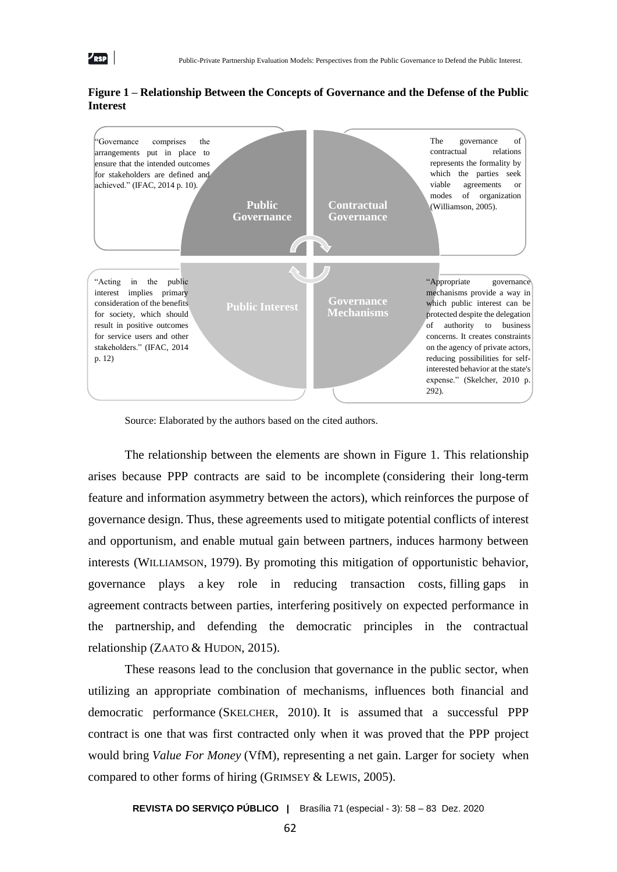

**Figure 1 – Relationship Between the Concepts of Governance and the Defense of the Public Interest**

 $\nu_{\rm RSP}$ 

#### Source: Elaborated by the authors based on the cited authors.

The relationship between the elements are shown in Figure 1. This relationship arises because PPP contracts are said to be incomplete (considering their long-term feature and information asymmetry between the actors), which reinforces the purpose of governance design. Thus, these agreements used to mitigate potential conflicts of interest and opportunism, and enable mutual gain between partners, induces harmony between interests (WILLIAMSON, 1979). By promoting this mitigation of opportunistic behavior, governance plays a key role in reducing transaction costs, filling gaps in agreement contracts between parties, interfering positively on expected performance in the partnership, and defending the democratic principles in the contractual relationship (ZAATO & HUDON, 2015).

These reasons lead to the conclusion that governance in the public sector, when utilizing an appropriate combination of mechanisms, influences both financial and democratic performance (SKELCHER, 2010). It is assumed that a successful PPP contract is one that was first contracted only when it was proved that the PPP project would bring *Value For Money* (VfM), representing a net gain. Larger for society when compared to other forms of hiring (GRIMSEY & LEWIS, 2005).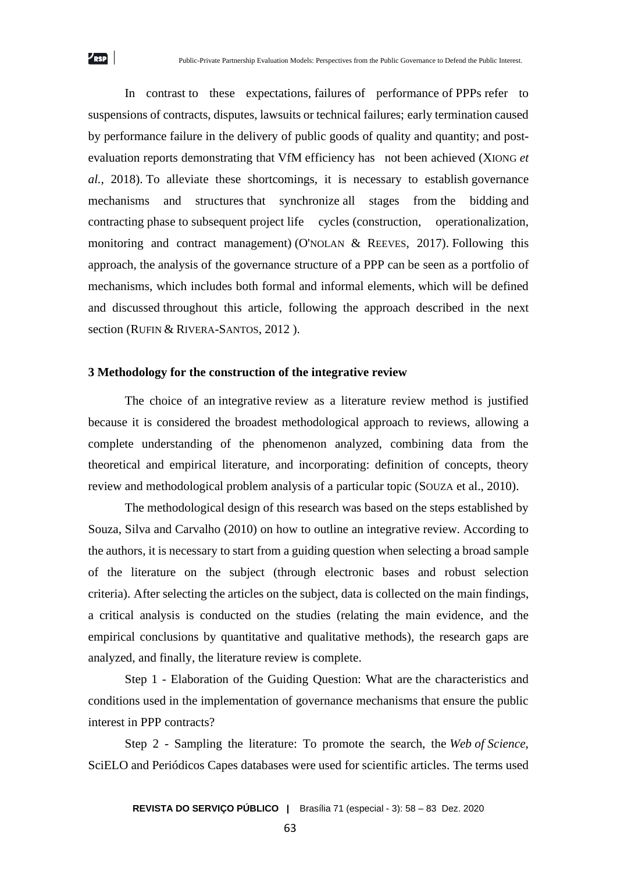In contrast to these expectations, failures of performance of PPPs refer to suspensions of contracts, disputes, lawsuits or technical failures; early termination caused by performance failure in the delivery of public goods of quality and quantity; and postevaluation reports demonstrating that VfM efficiency has not been achieved (XIONG *et al.*, 2018). To alleviate these shortcomings, it is necessary to establish governance mechanisms and structures that synchronize all stages from the bidding and contracting phase to subsequent project life cycles (construction, operationalization, monitoring and contract management) (O'NOLAN & REEVES, 2017). Following this approach, the analysis of the governance structure of a PPP can be seen as a portfolio of mechanisms, which includes both formal and informal elements, which will be defined and discussed throughout this article, following the approach described in the next section (RUFIN & RIVERA-SANTOS, 2012).

#### **3 Methodology for the construction of the integrative review**

 $\nu_{\rm RSP}$ 

The choice of an integrative review as a literature review method is justified because it is considered the broadest methodological approach to reviews, allowing a complete understanding of the phenomenon analyzed, combining data from the theoretical and empirical literature, and incorporating: definition of concepts, theory review and methodological problem analysis of a particular topic (SOUZA et al., 2010).

The methodological design of this research was based on the steps established by Souza, Silva and Carvalho (2010) on how to outline an integrative review. According to the authors, it is necessary to start from a guiding question when selecting a broad sample of the literature on the subject (through electronic bases and robust selection criteria). After selecting the articles on the subject, data is collected on the main findings, a critical analysis is conducted on the studies (relating the main evidence, and the empirical conclusions by quantitative and qualitative methods), the research gaps are analyzed, and finally, the literature review is complete.

Step 1 - Elaboration of the Guiding Question: What are the characteristics and conditions used in the implementation of governance mechanisms that ensure the public interest in PPP contracts?

Step 2 - Sampling the literature: To promote the search, the *Web of Science*, SciELO and Periódicos Capes databases were used for scientific articles. The terms used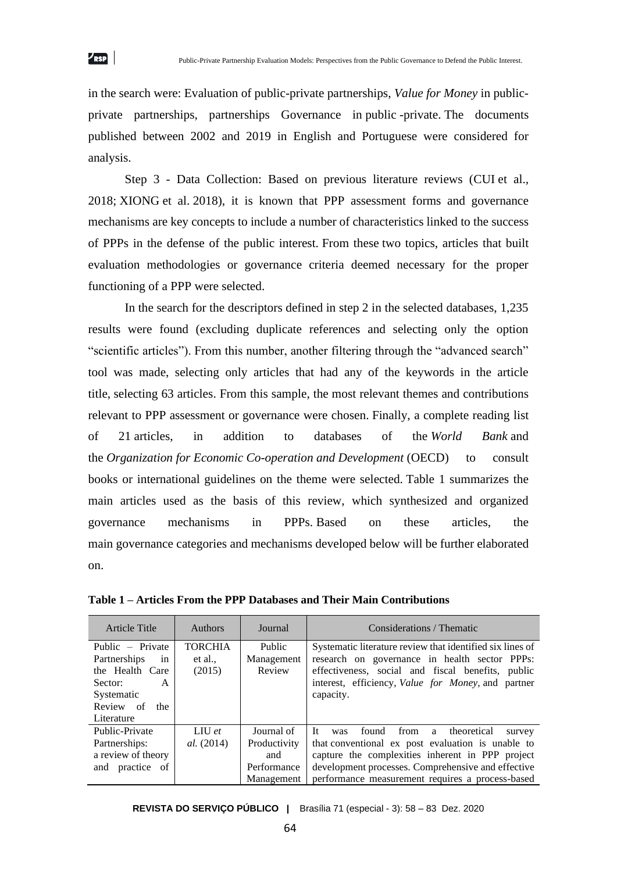in the search were: Evaluation of public-private partnerships, *Value for Money* in publicprivate partnerships, partnerships Governance in public -private. The documents published between 2002 and 2019 in English and Portuguese were considered for analysis.

Step 3 - Data Collection: Based on previous literature reviews (CUI et al., 2018; XIONG et al. 2018), it is known that PPP assessment forms and governance mechanisms are key concepts to include a number of characteristics linked to the success of PPPs in the defense of the public interest. From these two topics, articles that built evaluation methodologies or governance criteria deemed necessary for the proper functioning of a PPP were selected.

In the search for the descriptors defined in step 2 in the selected databases, 1,235 results were found (excluding duplicate references and selecting only the option "scientific articles"). From this number, another filtering through the "advanced search" tool was made, selecting only articles that had any of the keywords in the article title, selecting 63 articles. From this sample, the most relevant themes and contributions relevant to PPP assessment or governance were chosen. Finally, a complete reading list of 21 articles, in addition to databases of the *World Bank* and the *Organization for Economic Co-operation and Development* (OECD) to consult books or international guidelines on the theme were selected. Table 1 summarizes the main articles used as the basis of this review, which synthesized and organized governance mechanisms in PPPs. Based on these articles, the main governance categories and mechanisms developed below will be further elaborated on.

| Article Title                                                                                                             | <b>Authors</b>                      | Journal                                                        | Considerations / Thematic                                                                                                                                                                                                                                                  |
|---------------------------------------------------------------------------------------------------------------------------|-------------------------------------|----------------------------------------------------------------|----------------------------------------------------------------------------------------------------------------------------------------------------------------------------------------------------------------------------------------------------------------------------|
| Public – Private<br>Partnerships<br>in<br>the Health Care<br>Sector:<br>A<br>Systematic<br>Review of<br>the<br>Literature | <b>TORCHIA</b><br>et al.,<br>(2015) | Public<br>Management<br>Review                                 | Systematic literature review that identified six lines of<br>research on governance in health sector PPPs:<br>effectiveness, social and fiscal benefits, public<br>interest, efficiency, Value for Money, and partner<br>capacity.                                         |
| Public-Private<br>Partnerships:<br>a review of theory<br>and practice of                                                  | LIU $et$<br><i>al.</i> (2014)       | Journal of<br>Productivity<br>and<br>Performance<br>Management | - Tr<br>found<br>from<br>a theoretical<br>was<br>survey<br>that conventional ex post evaluation is unable to<br>capture the complexities inherent in PPP project<br>development processes. Comprehensive and effective<br>performance measurement requires a process-based |

**Table 1 – Articles From the PPP Databases and Their Main Contributions**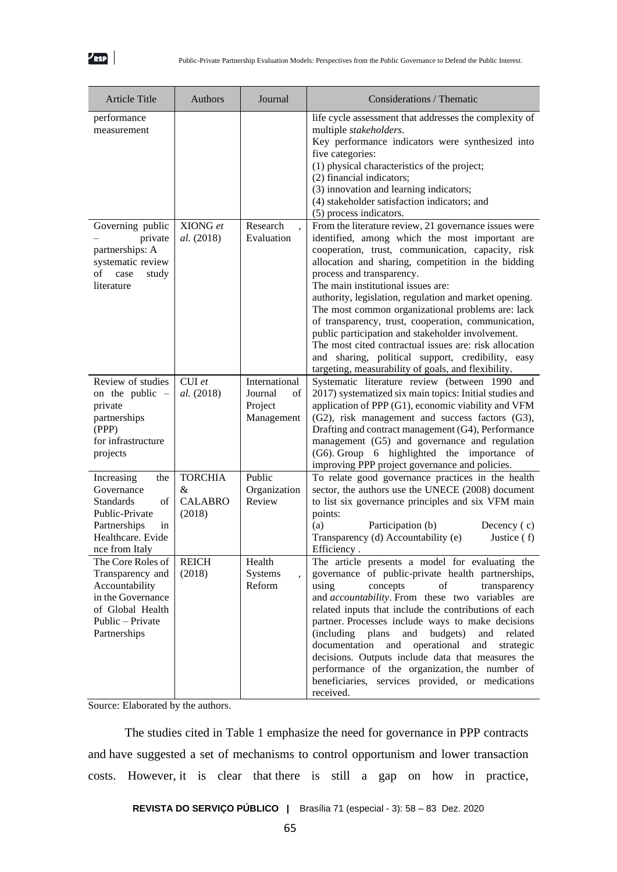| <b>Article Title</b>                                                                                                                     | Authors                                         | Journal                                                 | Considerations / Thematic                                                                                                                                                                                                                                                                                                                                                                                                                                                                                                                                                                                                                                                              |
|------------------------------------------------------------------------------------------------------------------------------------------|-------------------------------------------------|---------------------------------------------------------|----------------------------------------------------------------------------------------------------------------------------------------------------------------------------------------------------------------------------------------------------------------------------------------------------------------------------------------------------------------------------------------------------------------------------------------------------------------------------------------------------------------------------------------------------------------------------------------------------------------------------------------------------------------------------------------|
| performance<br>measurement                                                                                                               |                                                 |                                                         | life cycle assessment that addresses the complexity of<br>multiple stakeholders.<br>Key performance indicators were synthesized into<br>five categories:<br>(1) physical characteristics of the project;<br>(2) financial indicators;<br>(3) innovation and learning indicators;<br>(4) stakeholder satisfaction indicators; and<br>(5) process indicators.                                                                                                                                                                                                                                                                                                                            |
| Governing public<br>private<br>partnerships: A<br>systematic review<br>of<br>case<br>study<br>literature                                 | XIONG et<br>al. (2018)                          | Research<br>Evaluation                                  | From the literature review, 21 governance issues were<br>identified, among which the most important are<br>cooperation, trust, communication, capacity, risk<br>allocation and sharing, competition in the bidding<br>process and transparency.<br>The main institutional issues are:<br>authority, legislation, regulation and market opening.<br>The most common organizational problems are: lack<br>of transparency, trust, cooperation, communication,<br>public participation and stakeholder involvement.<br>The most cited contractual issues are: risk allocation<br>and sharing, political support, credibility, easy<br>targeting, measurability of goals, and flexibility. |
| Review of studies<br>on the public $-$<br>private<br>partnerships<br>(PPP)<br>for infrastructure<br>projects                             | CUI et<br>al. (2018)                            | International<br>Journal<br>of<br>Project<br>Management | Systematic literature review (between 1990 and<br>2017) systematized six main topics: Initial studies and<br>application of PPP (G1), economic viability and VFM<br>(G2), risk management and success factors (G3),<br>Drafting and contract management (G4), Performance<br>management (G5) and governance and regulation<br>(G6). Group 6 highlighted the importance of<br>improving PPP project governance and policies.                                                                                                                                                                                                                                                            |
| Increasing<br>the<br>Governance<br>of<br><b>Standards</b><br>Public-Private<br>Partnerships<br>in<br>Healthcare. Evide<br>nce from Italy | <b>TORCHIA</b><br>&<br><b>CALABRO</b><br>(2018) | Public<br>Organization<br>Review                        | To relate good governance practices in the health<br>sector, the authors use the UNECE (2008) document<br>to list six governance principles and six VFM main<br>points:<br>(a)<br>Participation (b)<br>Decency $(c)$<br>Transparency (d) Accountability (e)<br>Justice (f)<br><b>Efficiency</b>                                                                                                                                                                                                                                                                                                                                                                                        |
| The Core Roles of<br>Transparency and<br>Accountability<br>in the Governance<br>of Global Health<br>Public – Private<br>Partnerships     | <b>REICH</b><br>(2018)                          | Health<br><b>Systems</b><br>Reform                      | The article presents a model for evaluating the<br>governance of public-private health partnerships,<br>transparency<br>using<br>concepts<br>of<br>and <i>accountability</i> . From these two variables are<br>related inputs that include the contributions of each<br>partner. Processes include ways to make decisions<br><i>(including)</i><br>plans<br>budgets)<br>and<br>and<br>related<br>documentation<br>and<br>operational<br>and<br>strategic<br>decisions. Outputs include data that measures the<br>performance of the organization, the number of<br>beneficiaries, services provided, or medications<br>received.                                                       |

Source: Elaborated by the authors.

The studies cited in Table 1 emphasize the need for governance in PPP contracts and have suggested a set of mechanisms to control opportunism and lower transaction costs. However, it is clear that there is still a gap on how in practice,

**REVISTA DO SERVIÇO PÚBLICO |** Brasília 71 (especial - 3): 58 – 83 Dez. 2020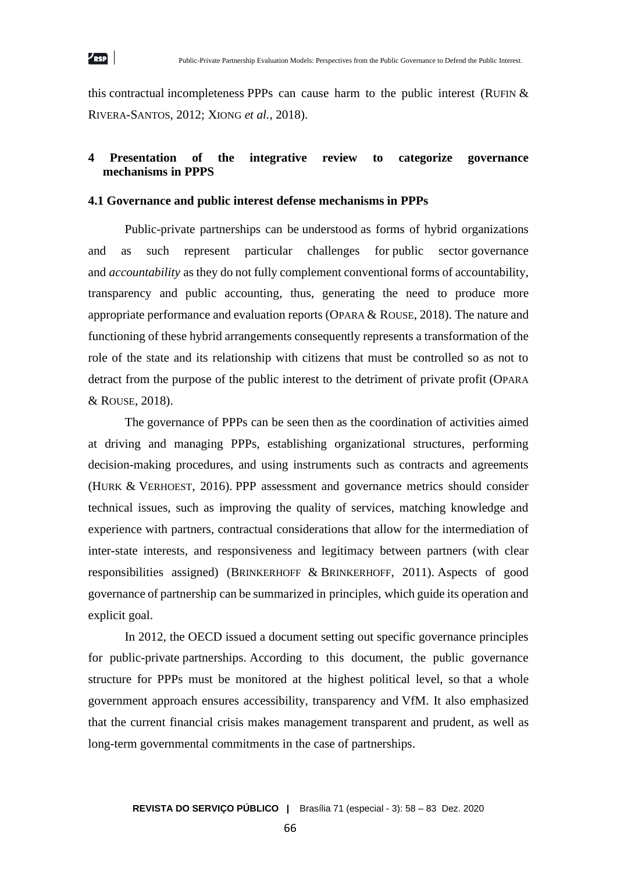this contractual incompleteness PPPs can cause harm to the public interest (RUFIN  $&$ RIVERA-SANTOS, 2012; XIONG *et al.*, 2018).

## **4 Presentation of the integrative review to categorize governance mechanisms in PPPS**

#### **4.1 Governance and public interest defense mechanisms in PPPs**

Public-private partnerships can be understood as forms of hybrid organizations and as such represent particular challenges for public sector governance and *accountability* as they do not fully complement conventional forms of accountability, transparency and public accounting, thus, generating the need to produce more appropriate performance and evaluation reports (OPARA & ROUSE, 2018). The nature and functioning of these hybrid arrangements consequently represents a transformation of the role of the state and its relationship with citizens that must be controlled so as not to detract from the purpose of the public interest to the detriment of private profit (OPARA & ROUSE, 2018).

The governance of PPPs can be seen then as the coordination of activities aimed at driving and managing PPPs, establishing organizational structures, performing decision-making procedures, and using instruments such as contracts and agreements (HURK & VERHOEST, 2016). PPP assessment and governance metrics should consider technical issues, such as improving the quality of services, matching knowledge and experience with partners, contractual considerations that allow for the intermediation of inter-state interests, and responsiveness and legitimacy between partners (with clear responsibilities assigned) (BRINKERHOFF & BRINKERHOFF, 2011). Aspects of good governance of partnership can be summarized in principles, which guide its operation and explicit goal.

In 2012, the OECD issued a document setting out specific governance principles for public-private partnerships. According to this document, the public governance structure for PPPs must be monitored at the highest political level, so that a whole government approach ensures accessibility, transparency and VfM. It also emphasized that the current financial crisis makes management transparent and prudent, as well as long-term governmental commitments in the case of partnerships.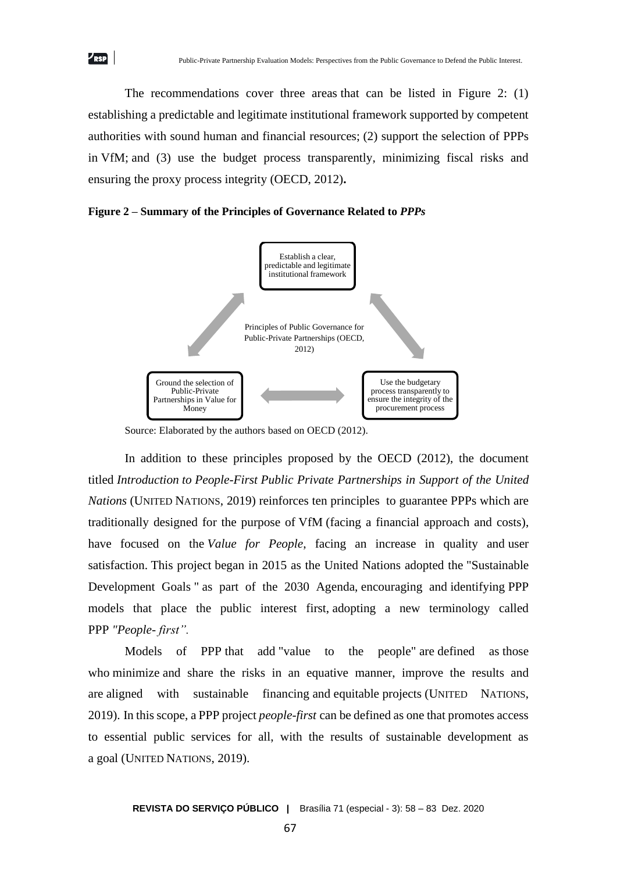The recommendations cover three areas that can be listed in Figure 2: (1) establishing a predictable and legitimate institutional framework supported by competent authorities with sound human and financial resources; (2) support the selection of PPPs in VfM; and (3) use the budget process transparently, minimizing fiscal risks and ensuring the proxy process integrity (OECD, 2012)**.**

**Figure 2 – Summary of the Principles of Governance Related to** *PPPs*



Source: Elaborated by the authors based on OECD (2012).

In addition to these principles proposed by the OECD (2012), the document titled *Introduction to People-First Public Private Partnerships in Support of the United Nations* (UNITED NATIONS, 2019) reinforces ten principles to guarantee PPPs which are traditionally designed for the purpose of VfM (facing a financial approach and costs), have focused on the *Value for People*, facing an increase in quality and user satisfaction. This project began in 2015 as the United Nations adopted the "Sustainable Development Goals " as part of the 2030 Agenda, encouraging and identifying PPP models that place the public interest first, adopting a new terminology called PPP *"People- first".*

Models of PPP that add "value to the people" are defined as those who minimize and share the risks in an equative manner, improve the results and are aligned with sustainable financing and equitable projects (UNITED NATIONS, 2019). In this scope, a PPP project *people-first* can be defined as one that promotes access to essential public services for all, with the results of sustainable development as a goal (UNITED NATIONS, 2019).

 $\nu_{\rm RSP}$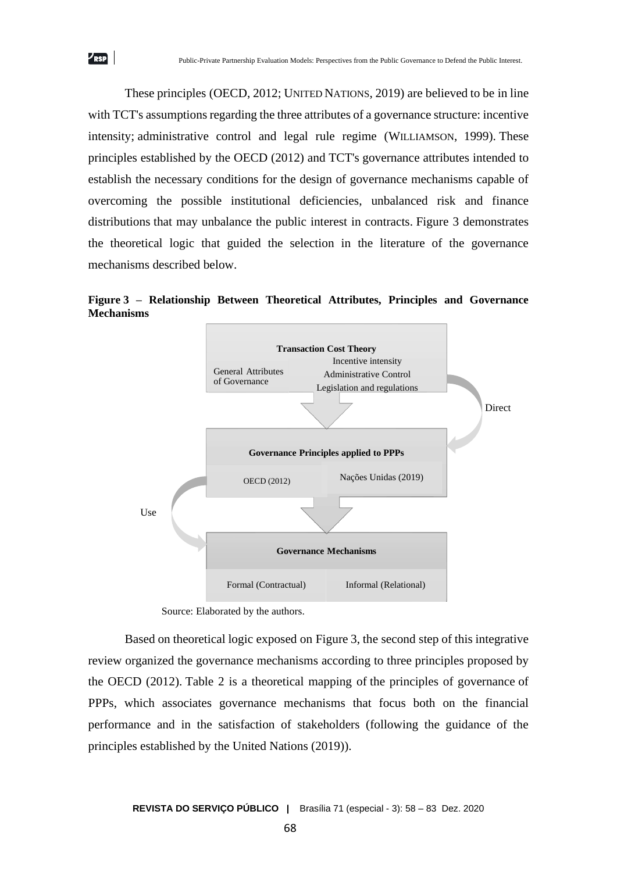These principles (OECD, 2012; UNITED NATIONS, 2019) are believed to be in line with TCT's assumptions regarding the three attributes of a governance structure: incentive intensity; administrative control and legal rule regime (WILLIAMSON, 1999). These principles established by the OECD (2012) and TCT's governance attributes intended to establish the necessary conditions for the design of governance mechanisms capable of overcoming the possible institutional deficiencies, unbalanced risk and finance distributions that may unbalance the public interest in contracts. Figure 3 demonstrates the theoretical logic that guided the selection in the literature of the governance mechanisms described below.

 $\nu_{\rm RSP}$ 

**Figure 3 – Relationship Between Theoretical Attributes, Principles and Governance Mechanisms**



Source: Elaborated by the authors.

Based on theoretical logic exposed on Figure 3, the second step of this integrative review organized the governance mechanisms according to three principles proposed by the OECD (2012). Table 2 is a theoretical mapping of the principles of governance of PPPs, which associates governance mechanisms that focus both on the financial performance and in the satisfaction of stakeholders (following the guidance of the principles established by the United Nations (2019)).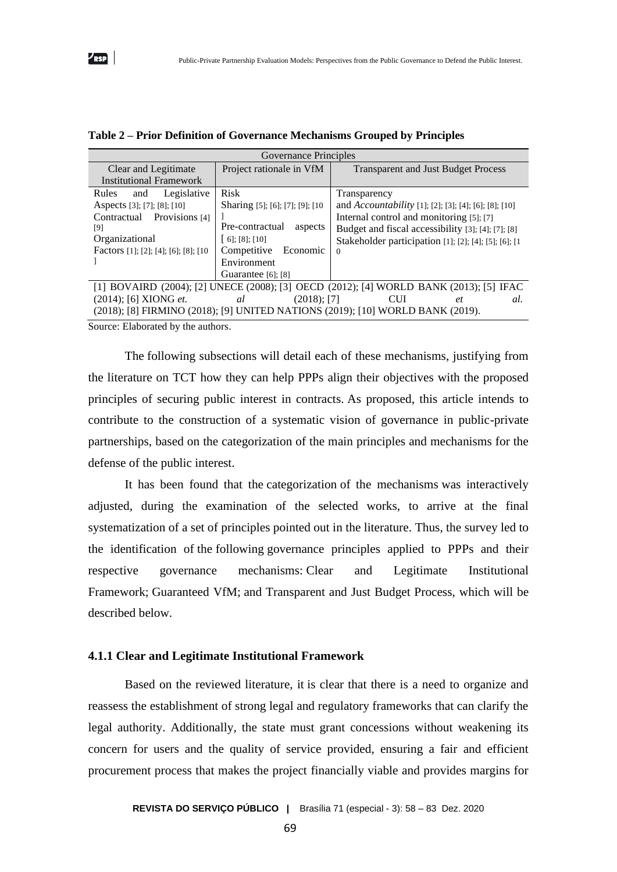| Governance Principles                                                                                                                                                 |                                                                                                                                                                |                                                                                                                                                                                                                                                     |  |  |  |
|-----------------------------------------------------------------------------------------------------------------------------------------------------------------------|----------------------------------------------------------------------------------------------------------------------------------------------------------------|-----------------------------------------------------------------------------------------------------------------------------------------------------------------------------------------------------------------------------------------------------|--|--|--|
| Clear and Legitimate                                                                                                                                                  | Project rationale in VfM                                                                                                                                       | <b>Transparent and Just Budget Process</b>                                                                                                                                                                                                          |  |  |  |
| <b>Institutional Framework</b>                                                                                                                                        |                                                                                                                                                                |                                                                                                                                                                                                                                                     |  |  |  |
| Legislative<br>Rules<br>and<br>Aspects [3]; [7]; [8]; [10]<br>Contractual Provisions [4]<br>[9]<br>Organizational<br>Factors [1]; [2]; [4]; [6]; [8]; [10             | <b>Risk</b><br>Sharing [5]; [6]; [7]; [9]; [10<br>Pre-contractual<br>aspects<br>$[6]$ ; [8]; [10]<br>Competitive Economic<br>Environment<br>Guarantee [6]; [8] | Transparency<br>and <i>Accountability</i> [1]; [2]; [3]; [4]; [6]; [8]; [10]<br>Internal control and monitoring [5]; [7]<br>Budget and fiscal accessibility [3]; [4]; [7]; [8]<br>Stakeholder participation [1]; [2]; [4]; [5]; [6]; [1<br>$\Omega$ |  |  |  |
| [1] BOVAIRD (2004); [2] UNECE (2008); [3] OECD (2012); [4] WORLD BANK (2013); [5] IFAC                                                                                |                                                                                                                                                                |                                                                                                                                                                                                                                                     |  |  |  |
| $(2014)$ ; [6] XIONG <i>et</i> .<br><b>CUI</b><br>$(2018)$ ; [7]<br>al<br>al.<br>et<br>(2018); [8] FIRMINO (2018); [9] UNITED NATIONS (2019); [10] WORLD BANK (2019). |                                                                                                                                                                |                                                                                                                                                                                                                                                     |  |  |  |

|  |  |  |  |  |  | Table 2 - Prior Definition of Governance Mechanisms Grouped by Principles |  |  |  |  |
|--|--|--|--|--|--|---------------------------------------------------------------------------|--|--|--|--|
|--|--|--|--|--|--|---------------------------------------------------------------------------|--|--|--|--|

Source: Elaborated by the authors.

The following subsections will detail each of these mechanisms, justifying from the literature on TCT how they can help PPPs align their objectives with the proposed principles of securing public interest in contracts. As proposed, this article intends to contribute to the construction of a systematic vision of governance in public-private partnerships, based on the categorization of the main principles and mechanisms for the defense of the public interest.

It has been found that the categorization of the mechanisms was interactively adjusted, during the examination of the selected works, to arrive at the final systematization of a set of principles pointed out in the literature. Thus, the survey led to the identification of the following governance principles applied to PPPs and their respective governance mechanisms: Clear and Legitimate Institutional Framework; Guaranteed VfM; and Transparent and Just Budget Process, which will be described below.

#### **4.1.1 Clear and Legitimate Institutional Framework**

Based on the reviewed literature, it is clear that there is a need to organize and reassess the establishment of strong legal and regulatory frameworks that can clarify the legal authority. Additionally, the state must grant concessions without weakening its concern for users and the quality of service provided, ensuring a fair and efficient procurement process that makes the project financially viable and provides margins for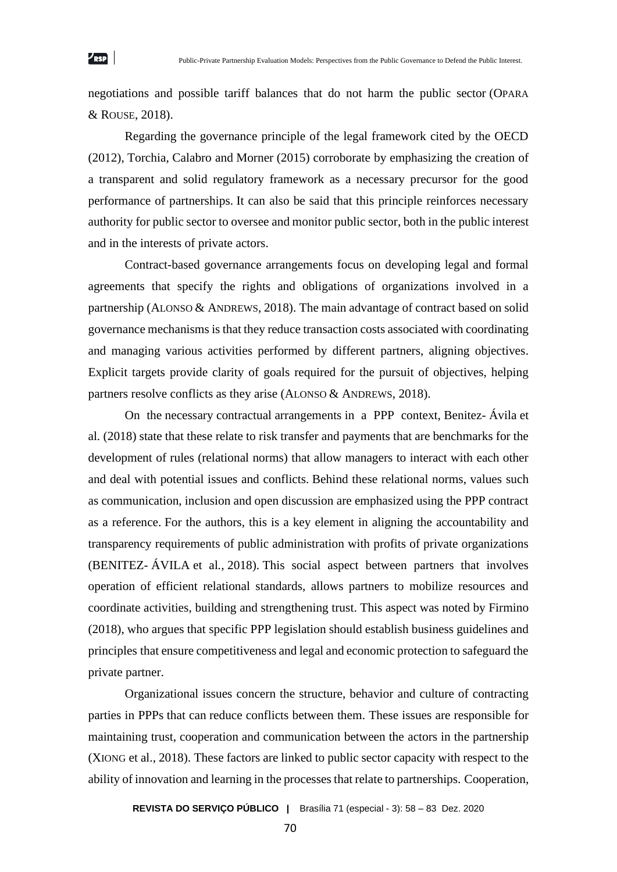negotiations and possible tariff balances that do not harm the public sector (OPARA & ROUSE, 2018).

 $\nu_{\rm RSP}$ 

Regarding the governance principle of the legal framework cited by the OECD (2012), Torchia, Calabro and Morner (2015) corroborate by emphasizing the creation of a transparent and solid regulatory framework as a necessary precursor for the good performance of partnerships. It can also be said that this principle reinforces necessary authority for public sector to oversee and monitor public sector, both in the public interest and in the interests of private actors.

Contract-based governance arrangements focus on developing legal and formal agreements that specify the rights and obligations of organizations involved in a partnership (ALONSO & ANDREWS, 2018). The main advantage of contract based on solid governance mechanisms is that they reduce transaction costs associated with coordinating and managing various activities performed by different partners, aligning objectives. Explicit targets provide clarity of goals required for the pursuit of objectives, helping partners resolve conflicts as they arise (ALONSO & ANDREWS, 2018).

On the necessary contractual arrangements in a PPP context, Benitez- Ávila et al. (2018) state that these relate to risk transfer and payments that are benchmarks for the development of rules (relational norms) that allow managers to interact with each other and deal with potential issues and conflicts. Behind these relational norms, values such as communication, inclusion and open discussion are emphasized using the PPP contract as a reference. For the authors, this is a key element in aligning the accountability and transparency requirements of public administration with profits of private organizations (BENITEZ- ÁVILA et al*.,* 2018). This social aspect between partners that involves operation of efficient relational standards, allows partners to mobilize resources and coordinate activities, building and strengthening trust. This aspect was noted by Firmino (2018), who argues that specific PPP legislation should establish business guidelines and principles that ensure competitiveness and legal and economic protection to safeguard the private partner.

Organizational issues concern the structure, behavior and culture of contracting parties in PPPs that can reduce conflicts between them. These issues are responsible for maintaining trust, cooperation and communication between the actors in the partnership (XIONG et al., 2018). These factors are linked to public sector capacity with respect to the ability of innovation and learning in the processes that relate to partnerships. Cooperation,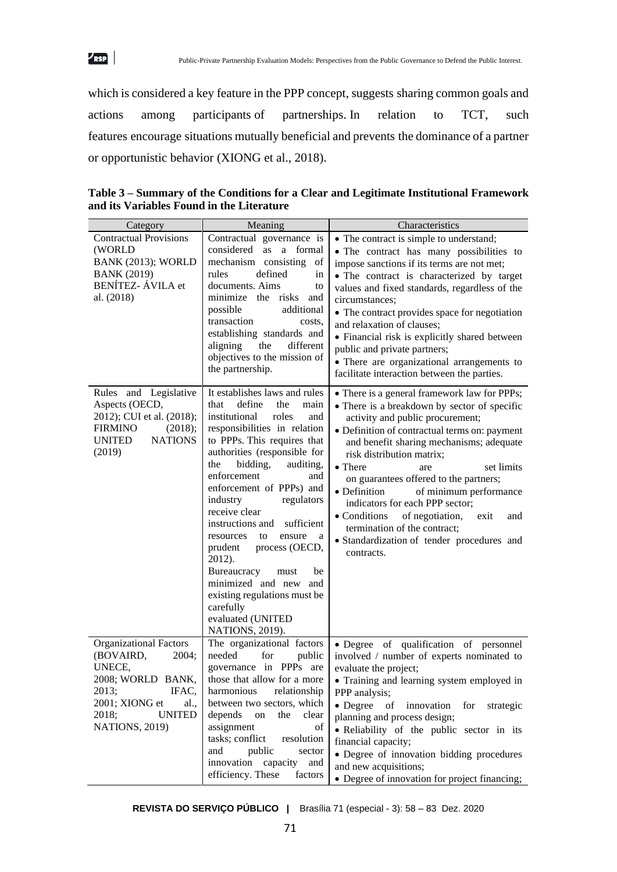

which is considered a key feature in the PPP concept, suggests sharing common goals and actions among participants of partnerships. In relation to TCT, such features encourage situations mutually beneficial and prevents the dominance of a partner or opportunistic behavior (XIONG et al., 2018).

| Category                                                                                                                                                            | Meaning                                                                                                                                                                                                                                                                                                                                                                                                                                                                                                                                                                        | Characteristics                                                                                                                                                                                                                                                                                                                                                                                                                                                                                                                                                 |
|---------------------------------------------------------------------------------------------------------------------------------------------------------------------|--------------------------------------------------------------------------------------------------------------------------------------------------------------------------------------------------------------------------------------------------------------------------------------------------------------------------------------------------------------------------------------------------------------------------------------------------------------------------------------------------------------------------------------------------------------------------------|-----------------------------------------------------------------------------------------------------------------------------------------------------------------------------------------------------------------------------------------------------------------------------------------------------------------------------------------------------------------------------------------------------------------------------------------------------------------------------------------------------------------------------------------------------------------|
| <b>Contractual Provisions</b><br>(WORLD<br><b>BANK (2013); WORLD</b><br><b>BANK (2019)</b><br><b>BENÍTEZ-ÁVILA</b> et<br>al. (2018)                                 | Contractual governance is<br>considered<br>as a formal<br>mechanism consisting<br>of<br>defined<br>rules<br>in<br>documents. Aims<br>to<br>minimize the risks and<br>additional<br>possible<br>transaction<br>costs.<br>establishing standards and<br>aligning<br>different<br>the<br>objectives to the mission of<br>the partnership.                                                                                                                                                                                                                                         | • The contract is simple to understand;<br>• The contract has many possibilities to<br>impose sanctions if its terms are not met;<br>• The contract is characterized by target<br>values and fixed standards, regardless of the<br>circumstances;<br>• The contract provides space for negotiation<br>and relaxation of clauses;<br>• Financial risk is explicitly shared between<br>public and private partners;<br>• There are organizational arrangements to<br>facilitate interaction between the parties.                                                  |
| Rules and Legislative<br>Aspects (OECD,<br>2012); CUI et al. (2018);<br>(2018);<br><b>FIRMINO</b><br><b>NATIONS</b><br>UNITED<br>(2019)                             | It establishes laws and rules<br>define<br>that<br>the<br>main<br>institutional<br>roles<br>and<br>responsibilities in relation<br>to PPPs. This requires that<br>authorities (responsible for<br>bidding,<br>the<br>auditing,<br>enforcement<br>and<br>enforcement of PPPs) and<br>regulators<br>industry<br>receive clear<br>instructions and sufficient<br>ensure<br>resources<br>to<br>a<br>process (OECD,<br>prudent<br>2012).<br>Bureaucracy<br>be<br>must<br>minimized and new and<br>existing regulations must be<br>carefully<br>evaluated (UNITED<br>NATIONS, 2019). | • There is a general framework law for PPPs;<br>• There is a breakdown by sector of specific<br>activity and public procurement;<br>• Definition of contractual terms on: payment<br>and benefit sharing mechanisms; adequate<br>risk distribution matrix;<br>• There<br>set limits<br>are<br>on guarantees offered to the partners;<br>• Definition<br>of minimum performance<br>indicators for each PPP sector;<br>of negotiation,<br>• Conditions<br>exit<br>and<br>termination of the contract;<br>· Standardization of tender procedures and<br>contracts. |
| Organizational Factors<br>(BOVAIRD,<br>2004;<br>UNECE,<br>2008; WORLD BANK,<br>2013;<br>IFAC,<br>2001; XIONG et<br>al.,<br>2018;<br><b>UNITED</b><br>NATIONS, 2019) | The organizational factors<br>needed<br>for<br>public<br>governance in PPPs are<br>those that allow for a more<br>harmonious<br>relationship<br>between two sectors, which<br>depends<br>${\rm on}$<br>the<br>clear<br>assignment<br>$% \left( \left( \mathcal{A},\mathcal{A}\right) \right) =\left( \mathcal{A},\mathcal{A}\right)$ of<br>tasks; conflict<br>resolution<br>public<br>and<br>sector<br>innovation<br>capacity<br>and<br>efficiency. These<br>factors                                                                                                           | · Degree of qualification of personnel<br>involved / number of experts nominated to<br>evaluate the project;<br>• Training and learning system employed in<br>PPP analysis;<br>• Degree<br>of innovation<br>for<br>strategic<br>planning and process design;<br>· Reliability of the public sector in its<br>financial capacity;<br>• Degree of innovation bidding procedures<br>and new acquisitions;<br>• Degree of innovation for project financing;                                                                                                         |

**Table 3 – Summary of the Conditions for a Clear and Legitimate Institutional Framework and its Variables Found in the Literature**

**REVISTA DO SERVIÇO PÚBLICO |** Brasília 71 (especial - 3): 58 – 83 Dez. 2020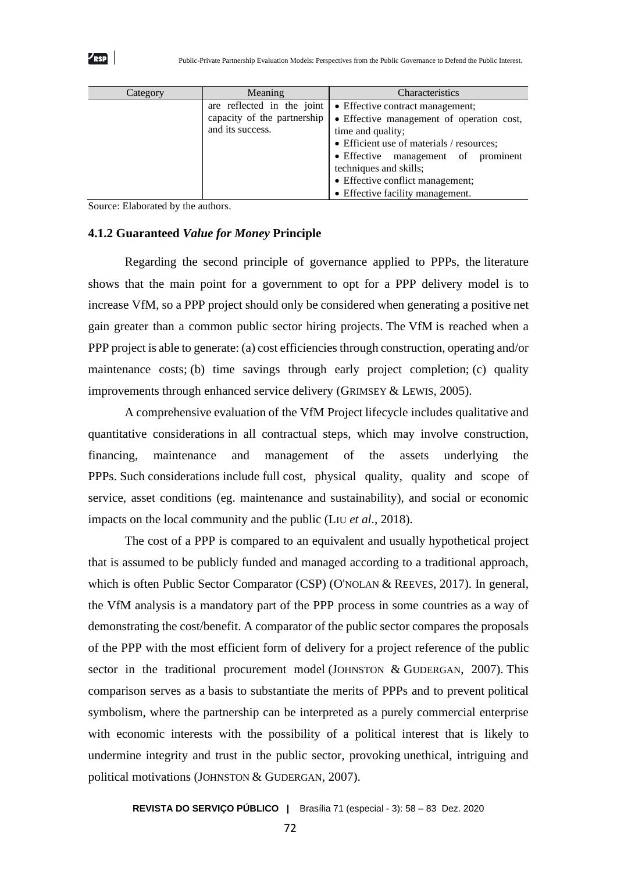| Category | Meaning                                                                       | Characteristics                                                                                                                                                                                                                                                                          |
|----------|-------------------------------------------------------------------------------|------------------------------------------------------------------------------------------------------------------------------------------------------------------------------------------------------------------------------------------------------------------------------------------|
|          | are reflected in the joint<br>capacity of the partnership<br>and its success. | • Effective contract management;<br>• Effective management of operation cost,<br>time and quality;<br>• Efficient use of materials / resources;<br>• Effective management of prominent<br>techniques and skills;<br>• Effective conflict management;<br>• Effective facility management. |

Source: Elaborated by the authors.

 $\nu_{\bf RSP}$ 

### **4.1.2 Guaranteed** *Value for Money* **Principle**

Regarding the second principle of governance applied to PPPs, the literature shows that the main point for a government to opt for a PPP delivery model is to increase VfM, so a PPP project should only be considered when generating a positive net gain greater than a common public sector hiring projects. The VfM is reached when a PPP project is able to generate: (a) cost efficiencies through construction, operating and/or maintenance costs; (b) time savings through early project completion; (c) quality improvements through enhanced service delivery (GRIMSEY & LEWIS, 2005).

A comprehensive evaluation of the VfM Project lifecycle includes qualitative and quantitative considerations in all contractual steps, which may involve construction, financing, maintenance and management of the assets underlying the PPPs. Such considerations include full cost, physical quality, quality and scope of service, asset conditions (eg. maintenance and sustainability), and social or economic impacts on the local community and the public (LIU *et al*., 2018).

The cost of a PPP is compared to an equivalent and usually hypothetical project that is assumed to be publicly funded and managed according to a traditional approach, which is often Public Sector Comparator (CSP) (O'NOLAN & REEVES, 2017). In general, the VfM analysis is a mandatory part of the PPP process in some countries as a way of demonstrating the cost/benefit. A comparator of the public sector compares the proposals of the PPP with the most efficient form of delivery for a project reference of the public sector in the traditional procurement model (JOHNSTON & GUDERGAN, 2007). This comparison serves as a basis to substantiate the merits of PPPs and to prevent political symbolism, where the partnership can be interpreted as a purely commercial enterprise with economic interests with the possibility of a political interest that is likely to undermine integrity and trust in the public sector, provoking unethical, intriguing and political motivations (JOHNSTON & GUDERGAN, 2007).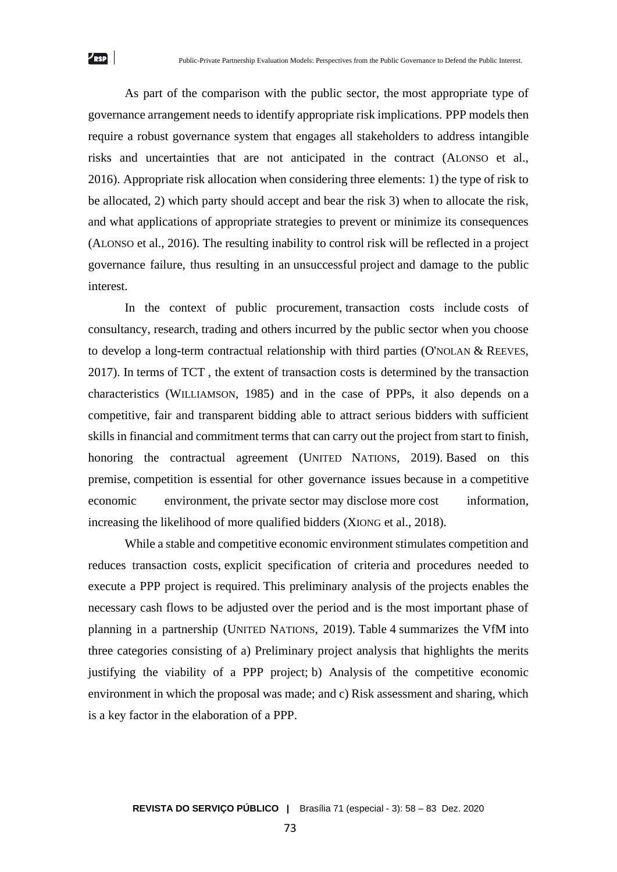As part of the comparison with the public sector, the most appropriate type of governance arrangement needs to identify appropriate risk implications. PPP models then require a robust governance system that engages all stakeholders to address intangible risks and uncertainties that are not anticipated in the contract (ALONSO et al., 2016). Appropriate risk allocation when considering three elements: 1) the type of risk to be allocated, 2) which party should accept and bear the risk 3) when to allocate the risk, and what applications of appropriate strategies to prevent or minimize its consequences (ALONSO et al., 2016). The resulting inability to control risk will be reflected in a project governance failure, thus resulting in an unsuccessful project and damage to the public interest.

In the context of public procurement, transaction costs include costs of consultancy, research, trading and others incurred by the public sector when you choose to develop a long-term contractual relationship with third parties (O'NOLAN & REEVES, 2017). In terms of TCT , the extent of transaction costs is determined by the transaction characteristics (WILLIAMSON, 1985) and in the case of PPPs, it also depends on a competitive, fair and transparent bidding able to attract serious bidders with sufficient skills in financial and commitment terms that can carry out the project from start to finish, honoring the contractual agreement (UNITED NATIONS, 2019). Based on this premise, competition is essential for other governance issues because in a competitive economic environment, the private sector may disclose more cost information, increasing the likelihood of more qualified bidders (XIONG et al., 2018).

While a stable and competitive economic environment stimulates competition and reduces transaction costs, explicit specification of criteria and procedures needed to execute a PPP project is required. This preliminary analysis of the projects enables the necessary cash flows to be adjusted over the period and is the most important phase of planning in a partnership (UNITED NATIONS, 2019). Table 4 summarizes the VfM into three categories consisting of a) Preliminary project analysis that highlights the merits justifying the viability of a PPP project; b) Analysis of the competitive economic environment in which the proposal was made; and c) Risk assessment and sharing, which is a key factor in the elaboration of a PPP.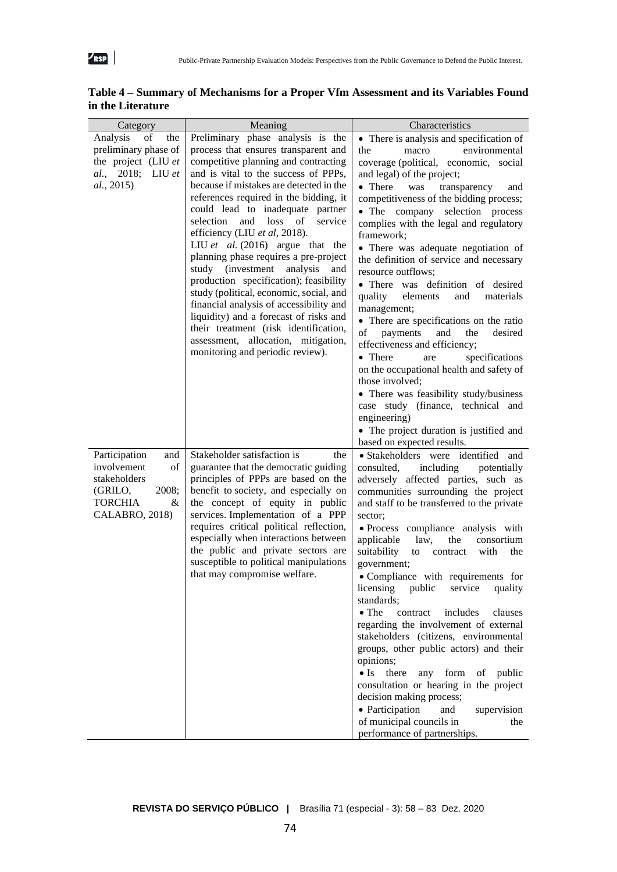

| Category                                                                                                               | Meaning                                                                                                                                                                                                                                                                                                                                                                                                                                                                                                                                                                                                                                                                                                                                                                      | Characteristics                                                                                                                                                                                                                                                                                                                                                                                                                                                                                                                                                                                                                                                                                                                                                                                                                                                                                                               |
|------------------------------------------------------------------------------------------------------------------------|------------------------------------------------------------------------------------------------------------------------------------------------------------------------------------------------------------------------------------------------------------------------------------------------------------------------------------------------------------------------------------------------------------------------------------------------------------------------------------------------------------------------------------------------------------------------------------------------------------------------------------------------------------------------------------------------------------------------------------------------------------------------------|-------------------------------------------------------------------------------------------------------------------------------------------------------------------------------------------------------------------------------------------------------------------------------------------------------------------------------------------------------------------------------------------------------------------------------------------------------------------------------------------------------------------------------------------------------------------------------------------------------------------------------------------------------------------------------------------------------------------------------------------------------------------------------------------------------------------------------------------------------------------------------------------------------------------------------|
| of<br>Analysis<br>the<br>preliminary phase of<br>the project (LIU et<br>al., 2018; LIU et<br>al., 2015)                | Preliminary phase analysis is the<br>process that ensures transparent and<br>competitive planning and contracting<br>and is vital to the success of PPPs,<br>because if mistakes are detected in the<br>references required in the bidding, it<br>could lead to inadequate partner<br>selection<br>and loss of<br>service<br>efficiency (LIU et al, 2018).<br>LIU et al. $(2016)$ argue that the<br>planning phase requires a pre-project<br>study (investment analysis<br>and<br>production specification); feasibility<br>study (political, economic, social, and<br>financial analysis of accessibility and<br>liquidity) and a forecast of risks and<br>their treatment (risk identification,<br>assessment, allocation, mitigation,<br>monitoring and periodic review). | • There is analysis and specification of<br>environmental<br>the<br>macro<br>coverage (political, economic, social<br>and legal) of the project;<br>• There<br>was<br>transparency<br>and<br>competitiveness of the bidding process;<br>• The company selection process<br>complies with the legal and regulatory<br>framework;<br>• There was adequate negotiation of<br>the definition of service and necessary<br>resource outflows;<br>• There was definition of desired<br>quality<br>elements<br>materials<br>and<br>management;<br>• There are specifications on the ratio<br>payments<br>the<br>of<br>and<br>desired<br>effectiveness and efficiency;<br>• There<br>specifications<br>are<br>on the occupational health and safety of<br>those involved;<br>• There was feasibility study/business<br>case study (finance, technical and<br>engineering)<br>• The project duration is justified and                   |
| Participation<br>and<br>involvement<br>of<br>stakeholders<br>2008;<br>(GRILO,<br><b>TORCHIA</b><br>&<br>CALABRO, 2018) | Stakeholder satisfaction is<br>the<br>guarantee that the democratic guiding<br>principles of PPPs are based on the<br>benefit to society, and especially on<br>the concept of equity in public<br>services. Implementation of a PPP<br>requires critical political reflection,<br>especially when interactions between<br>the public and private sectors are<br>susceptible to political manipulations<br>that may compromise welfare.                                                                                                                                                                                                                                                                                                                                       | based on expected results.<br>· Stakeholders were identified and<br>consulted,<br>including<br>potentially<br>adversely affected parties, such as<br>communities surrounding the project<br>and staff to be transferred to the private<br>sector;<br>· Process compliance analysis with<br>applicable<br>the<br>consortium<br>law,<br>suitability<br>with<br>to<br>contract<br>the<br>government;<br>• Compliance with requirements for<br>licensing<br>public<br>quality<br>service<br>standards;<br>$\bullet$ The<br>contract<br>includes<br>clauses<br>regarding the involvement of external<br>stakeholders (citizens, environmental<br>groups, other public actors) and their<br>opinions;<br>$\bullet$ Is there<br>any form of public<br>consultation or hearing in the project<br>decision making process;<br>• Participation<br>and<br>supervision<br>of municipal councils in<br>the<br>performance of partnerships. |

### **Table 4 – Summary of Mechanisms for a Proper Vfm Assessment and its Variables Found in the Literature**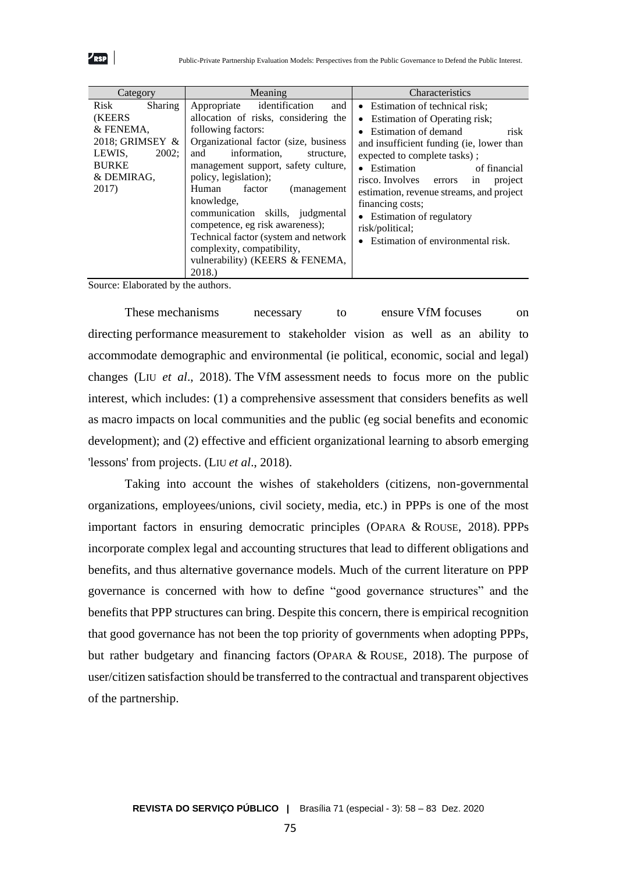

| Category                                                                                                                    | Meaning                                                                                                                                                                                                                                                                                                                                                                                                                                                                                     | Characteristics                                                                                                                                                                                                                                                                                                                                                                                                     |
|-----------------------------------------------------------------------------------------------------------------------------|---------------------------------------------------------------------------------------------------------------------------------------------------------------------------------------------------------------------------------------------------------------------------------------------------------------------------------------------------------------------------------------------------------------------------------------------------------------------------------------------|---------------------------------------------------------------------------------------------------------------------------------------------------------------------------------------------------------------------------------------------------------------------------------------------------------------------------------------------------------------------------------------------------------------------|
| Risk<br>Sharing<br><b>(KEERS)</b><br>& FENEMA.<br>2018; GRIMSEY &<br>2002:<br>LEWIS,<br><b>BURKE</b><br>& DEMIRAG,<br>2017) | identification<br>and<br>Appropriate<br>allocation of risks, considering the<br>following factors:<br>Organizational factor (size, business<br>information,<br>and<br>structure.<br>management support, safety culture,<br>policy, legislation);<br>Human<br>factor<br>(management)<br>knowledge,<br>communication skills, judgmental<br>competence, eg risk awareness);<br>Technical factor (system and network<br>complexity, compatibility,<br>vulnerability) (KEERS & FENEMA,<br>2018.) | • Estimation of technical risk;<br>• Estimation of Operating risk;<br>• Estimation of demand<br>risk<br>and insufficient funding (ie, lower than<br>expected to complete tasks);<br>• Estimation<br>of financial<br>in<br>risco. Involves errors<br>project<br>estimation, revenue streams, and project<br>financing costs;<br>• Estimation of regulatory<br>risk/political;<br>• Estimation of environmental risk. |

Source: Elaborated by the authors.

These mechanisms necessary to ensure VfM focuses on directing performance measurement to stakeholder vision as well as an ability to accommodate demographic and environmental (ie political, economic, social and legal) changes (LIU *et al*., 2018). The VfM assessment needs to focus more on the public interest, which includes: (1) a comprehensive assessment that considers benefits as well as macro impacts on local communities and the public (eg social benefits and economic development); and (2) effective and efficient organizational learning to absorb emerging 'lessons' from projects. (LIU *et al*., 2018).

Taking into account the wishes of stakeholders (citizens, non-governmental organizations, employees/unions, civil society, media, etc.) in PPPs is one of the most important factors in ensuring democratic principles (OPARA & ROUSE, 2018). PPPs incorporate complex legal and accounting structures that lead to different obligations and benefits, and thus alternative governance models. Much of the current literature on PPP governance is concerned with how to define "good governance structures" and the benefits that PPP structures can bring. Despite this concern, there is empirical recognition that good governance has not been the top priority of governments when adopting PPPs, but rather budgetary and financing factors (OPARA & ROUSE, 2018). The purpose of user/citizen satisfaction should be transferred to the contractual and transparent objectives of the partnership.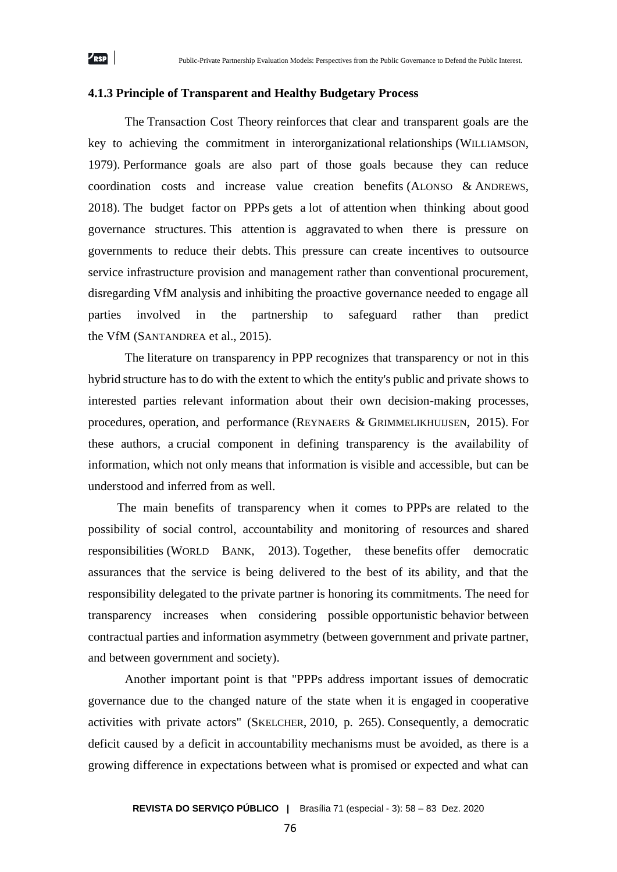#### **4.1.3 Principle of Transparent and Healthy Budgetary Process**

The Transaction Cost Theory reinforces that clear and transparent goals are the key to achieving the commitment in interorganizational relationships (WILLIAMSON, 1979). Performance goals are also part of those goals because they can reduce coordination costs and increase value creation benefits (ALONSO & ANDREWS, 2018). The budget factor on PPPs gets a lot of attention when thinking about good governance structures. This attention is aggravated to when there is pressure on governments to reduce their debts. This pressure can create incentives to outsource service infrastructure provision and management rather than conventional procurement, disregarding VfM analysis and inhibiting the proactive governance needed to engage all parties involved in the partnership to safeguard rather than predict the VfM (SANTANDREA et al., 2015).

The literature on transparency in PPP recognizes that transparency or not in this hybrid structure has to do with the extent to which the entity's public and private shows to interested parties relevant information about their own decision-making processes, procedures, operation, and performance (REYNAERS & GRIMMELIKHUIJSEN, 2015). For these authors, a crucial component in defining transparency is the availability of information, which not only means that information is visible and accessible, but can be understood and inferred from as well.

The main benefits of transparency when it comes to PPPs are related to the possibility of social control, accountability and monitoring of resources and shared responsibilities (WORLD BANK, 2013). Together, these benefits offer democratic assurances that the service is being delivered to the best of its ability, and that the responsibility delegated to the private partner is honoring its commitments. The need for transparency increases when considering possible opportunistic behavior between contractual parties and information asymmetry (between government and private partner, and between government and society).

Another important point is that "PPPs address important issues of democratic governance due to the changed nature of the state when it is engaged in cooperative activities with private actors" (SKELCHER, 2010, p. 265). Consequently, a democratic deficit caused by a deficit in accountability mechanisms must be avoided, as there is a growing difference in expectations between what is promised or expected and what can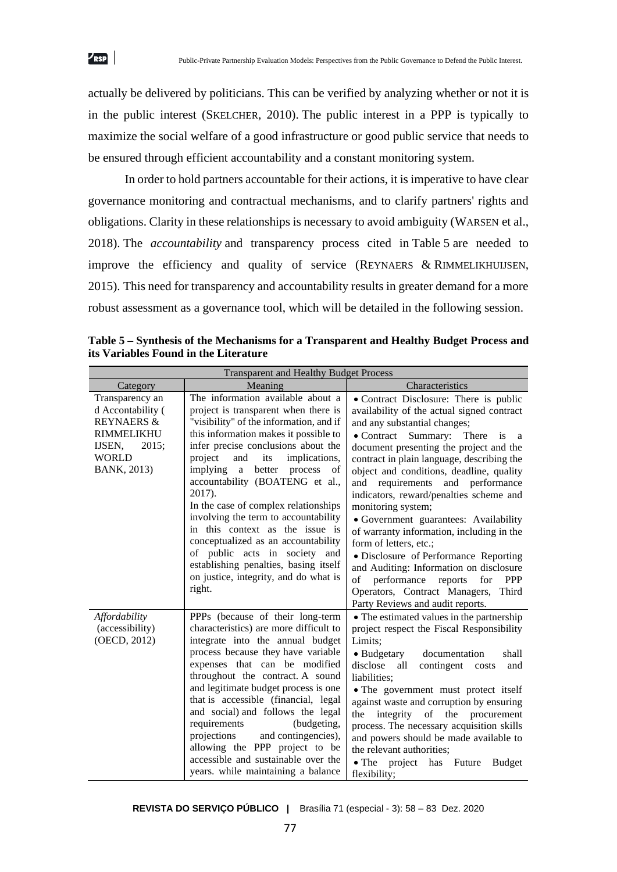actually be delivered by politicians. This can be verified by analyzing whether or not it is in the public interest (SKELCHER, 2010). The public interest in a PPP is typically to maximize the social welfare of a good infrastructure or good public service that needs to be ensured through efficient accountability and a constant monitoring system.

 $\nu_{\rm RSP}$ 

In order to hold partners accountable for their actions, it is imperative to have clear governance monitoring and contractual mechanisms, and to clarify partners' rights and obligations. Clarity in these relationships is necessary to avoid ambiguity (WARSEN et al., 2018). The *accountability* and transparency process cited in Table 5 are needed to improve the efficiency and quality of service (REYNAERS & RIMMELIKHUIJSEN, 2015). This need for transparency and accountability results in greater demand for a more robust assessment as a governance tool, which will be detailed in the following session.

| <b>Transparent and Healthy Budget Process</b>                                                                                 |                                                                                                                                                                                                                                                                                                                                                                                                                                                                                                                                                                                                                             |                                                                                                                                                                                                                                                                                                                                                                                                                                                                                                                                                                                                                                                                                                                                                              |  |  |
|-------------------------------------------------------------------------------------------------------------------------------|-----------------------------------------------------------------------------------------------------------------------------------------------------------------------------------------------------------------------------------------------------------------------------------------------------------------------------------------------------------------------------------------------------------------------------------------------------------------------------------------------------------------------------------------------------------------------------------------------------------------------------|--------------------------------------------------------------------------------------------------------------------------------------------------------------------------------------------------------------------------------------------------------------------------------------------------------------------------------------------------------------------------------------------------------------------------------------------------------------------------------------------------------------------------------------------------------------------------------------------------------------------------------------------------------------------------------------------------------------------------------------------------------------|--|--|
| Category                                                                                                                      | Meaning                                                                                                                                                                                                                                                                                                                                                                                                                                                                                                                                                                                                                     | Characteristics                                                                                                                                                                                                                                                                                                                                                                                                                                                                                                                                                                                                                                                                                                                                              |  |  |
| Transparency an<br>d Accontability (<br><b>REYNAERS &amp;</b><br>RIMMELIKHU<br>IJSEN.<br>2015;<br><b>WORLD</b><br>BANK, 2013) | The information available about a<br>project is transparent when there is<br>"visibility" of the information, and if<br>this information makes it possible to<br>infer precise conclusions about the<br>project<br>and<br>its<br>implications,<br>implying a<br>better<br>process<br>of<br>accountability (BOATENG et al.,<br>2017).<br>In the case of complex relationships<br>involving the term to accountability<br>in this context as the issue is<br>conceptualized as an accountability<br>of public acts in society and<br>establishing penalties, basing itself<br>on justice, integrity, and do what is<br>right. | • Contract Disclosure: There is public<br>availability of the actual signed contract<br>and any substantial changes;<br>$\bullet$ Contract<br>Summary: There<br>is<br><sub>a</sub><br>document presenting the project and the<br>contract in plain language, describing the<br>object and conditions, deadline, quality<br>and requirements and performance<br>indicators, reward/penalties scheme and<br>monitoring system;<br>• Government guarantees: Availability<br>of warranty information, including in the<br>form of letters, etc.;<br>· Disclosure of Performance Reporting<br>and Auditing: Information on disclosure<br>performance<br>reports<br>for<br>PPP<br>of<br>Operators, Contract Managers,<br>Third<br>Party Reviews and audit reports. |  |  |
| Affordability<br>(accessibility)<br>(OECD, 2012)                                                                              | PPPs (because of their long-term<br>characteristics) are more difficult to<br>integrate into the annual budget<br>process because they have variable<br>expenses that can be modified<br>throughout the contract. A sound<br>and legitimate budget process is one<br>that is accessible (financial, legal<br>and social) and follows the legal<br>requirements<br>(budgeting,<br>projections<br>and contingencies),<br>allowing the PPP project to be<br>accessible and sustainable over the<br>years. while maintaining a balance                                                                                          | • The estimated values in the partnership<br>project respect the Fiscal Responsibility<br>Limits;<br>• Budgetary<br>documentation<br>shall<br>disclose<br>all<br>contingent costs<br>and<br>liabilities;<br>• The government must protect itself<br>against waste and corruption by ensuring<br>integrity<br>of the procurement<br>the<br>process. The necessary acquisition skills<br>and powers should be made available to<br>the relevant authorities:<br>$\bullet$ The<br>project<br>has Future<br><b>Budget</b><br>flexibility;                                                                                                                                                                                                                        |  |  |

**Table 5 – Synthesis of the Mechanisms for a Transparent and Healthy Budget Process and its Variables Found in the Literature**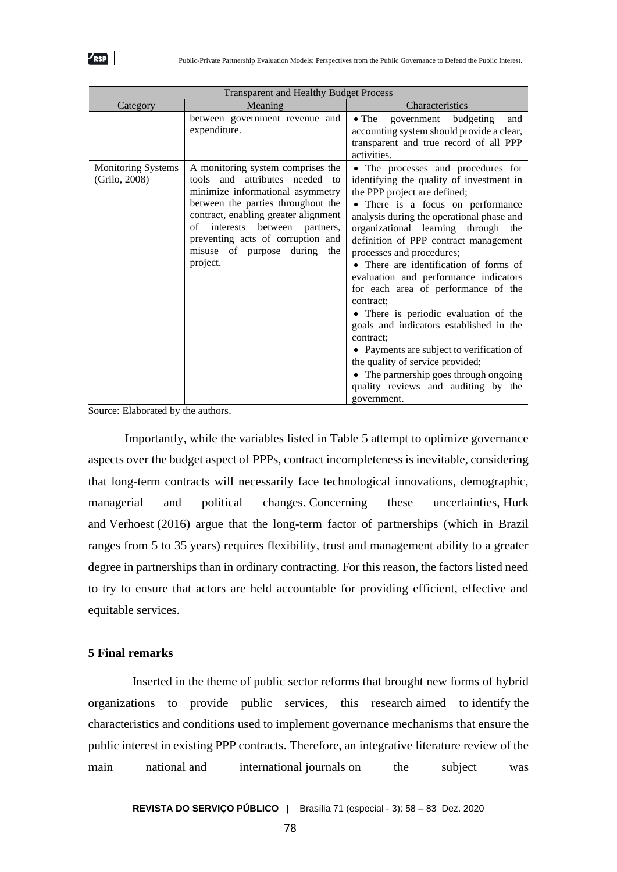| <b>Transparent and Healthy Budget Process</b> |                                                                                                                                                                                                                                                                                                                   |                                                                                                                                                                                                                                                                                                                                                                                                                                                                                                                                                                                                                                                                                                                                      |  |  |
|-----------------------------------------------|-------------------------------------------------------------------------------------------------------------------------------------------------------------------------------------------------------------------------------------------------------------------------------------------------------------------|--------------------------------------------------------------------------------------------------------------------------------------------------------------------------------------------------------------------------------------------------------------------------------------------------------------------------------------------------------------------------------------------------------------------------------------------------------------------------------------------------------------------------------------------------------------------------------------------------------------------------------------------------------------------------------------------------------------------------------------|--|--|
| Category                                      | Meaning                                                                                                                                                                                                                                                                                                           | Characteristics                                                                                                                                                                                                                                                                                                                                                                                                                                                                                                                                                                                                                                                                                                                      |  |  |
|                                               | between government revenue and<br>expenditure.                                                                                                                                                                                                                                                                    | $\bullet$ The<br>government budgeting<br>and<br>accounting system should provide a clear,<br>transparent and true record of all PPP<br>activities.                                                                                                                                                                                                                                                                                                                                                                                                                                                                                                                                                                                   |  |  |
| <b>Monitoring Systems</b><br>(Grilo, 2008)    | A monitoring system comprises the<br>tools and attributes needed to<br>minimize informational asymmetry<br>between the parties throughout the<br>contract, enabling greater alignment<br>interests<br>between partners,<br>of<br>preventing acts of corruption and<br>misuse of purpose during<br>the<br>project. | • The processes and procedures for<br>identifying the quality of investment in<br>the PPP project are defined;<br>• There is a focus on performance<br>analysis during the operational phase and<br>organizational learning through the<br>definition of PPP contract management<br>processes and procedures;<br>There are identification of forms of<br>evaluation and performance indicators<br>for each area of performance of the<br>contract:<br>• There is periodic evaluation of the<br>goals and indicators established in the<br>contract:<br>• Payments are subject to verification of<br>the quality of service provided;<br>• The partnership goes through ongoing<br>quality reviews and auditing by the<br>government. |  |  |

Source: Elaborated by the authors.

Importantly, while the variables listed in Table 5 attempt to optimize governance aspects over the budget aspect of PPPs, contract incompleteness is inevitable, considering that long-term contracts will necessarily face technological innovations, demographic, managerial and political changes. Concerning these uncertainties, Hurk and Verhoest (2016) argue that the long-term factor of partnerships (which in Brazil ranges from 5 to 35 years) requires flexibility, trust and management ability to a greater degree in partnerships than in ordinary contracting. For this reason, the factors listed need to try to ensure that actors are held accountable for providing efficient, effective and equitable services.

## **5 Final remarks**

Inserted in the theme of public sector reforms that brought new forms of hybrid organizations to provide public services, this research aimed to identify the characteristics and conditions used to implement governance mechanisms that ensure the public interest in existing PPP contracts. Therefore, an integrative literature review of the main national and international journals on the subject was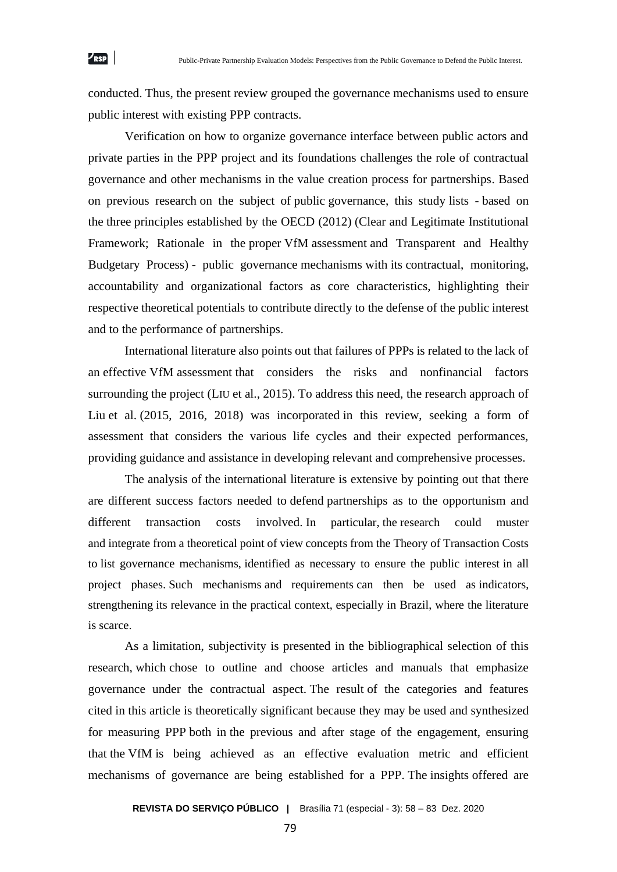conducted. Thus, the present review grouped the governance mechanisms used to ensure public interest with existing PPP contracts.

Verification on how to organize governance interface between public actors and private parties in the PPP project and its foundations challenges the role of contractual governance and other mechanisms in the value creation process for partnerships. Based on previous research on the subject of public governance, this study lists - based on the three principles established by the OECD (2012) (Clear and Legitimate Institutional Framework; Rationale in the proper VfM assessment and Transparent and Healthy Budgetary Process) - public governance mechanisms with its contractual, monitoring, accountability and organizational factors as core characteristics, highlighting their respective theoretical potentials to contribute directly to the defense of the public interest and to the performance of partnerships.

International literature also points out that failures of PPPs is related to the lack of an effective VfM assessment that considers the risks and nonfinancial factors surrounding the project (LIU et al., 2015). To address this need, the research approach of Liu et al. (2015, 2016, 2018) was incorporated in this review, seeking a form of assessment that considers the various life cycles and their expected performances, providing guidance and assistance in developing relevant and comprehensive processes.

The analysis of the international literature is extensive by pointing out that there are different success factors needed to defend partnerships as to the opportunism and different transaction costs involved. In particular, the research could muster and integrate from a theoretical point of view concepts from the Theory of Transaction Costs to list governance mechanisms, identified as necessary to ensure the public interest in all project phases. Such mechanisms and requirements can then be used as indicators, strengthening its relevance in the practical context, especially in Brazil, where the literature is scarce.

As a limitation, subjectivity is presented in the bibliographical selection of this research, which chose to outline and choose articles and manuals that emphasize governance under the contractual aspect. The result of the categories and features cited in this article is theoretically significant because they may be used and synthesized for measuring PPP both in the previous and after stage of the engagement, ensuring that the VfM is being achieved as an effective evaluation metric and efficient mechanisms of governance are being established for a PPP. The insights offered are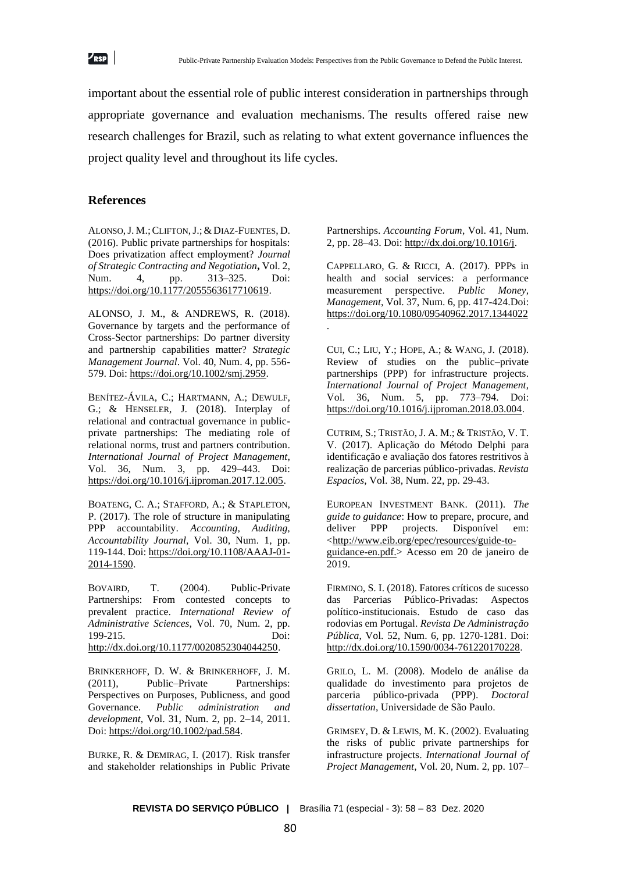

important about the essential role of public interest consideration in partnerships through appropriate governance and evaluation mechanisms. The results offered raise new research challenges for Brazil, such as relating to what extent governance influences the project quality level and throughout its life cycles.

## **References**

ALONSO, J. M.; CLIFTON, J.; & DIAZ-FUENTES, D. (2016). Public private partnerships for hospitals: Does privatization affect employment? *Journal of Strategic Contracting and Negotiation***,** Vol. 2, Num. 4, pp. 313–325. Doi: [https://doi.org/10.1177/2055563617710619.](https://doi.org/10.1177/2055563617710619)

ALONSO, J. M., & ANDREWS, R. (2018). Governance by targets and the performance of Cross-Sector partnerships: Do partner diversity and partnership capabilities matter? *Strategic Management Journal*. Vol. 40, Num. 4, pp. 556- 579. Doi: [https://doi.org/10.1002/smj.2959.](https://doi.org/10.1002/smj.2959)

BENÍTEZ-ÁVILA, C.; HARTMANN, A.; DEWULF, G.; & HENSELER, J. (2018). Interplay of relational and contractual governance in publicprivate partnerships: The mediating role of relational norms, trust and partners contribution. *International Journal of Project Management*, Vol. 36, Num. 3, pp. 429–443. Doi: [https://doi.org/10.1016/j.ijproman.2017.12.005.](https://doi.org/10.1016/j.ijproman.2017.12.005)

BOATENG, C. A.; STAFFORD, A.; & STAPLETON, P. (2017). The role of structure in manipulating PPP accountability. *Accounting, Auditing, Accountability Journal*, Vol. 30, Num. 1, pp. 119-144. Doi[: https://doi.org/10.1108/AAAJ-01-](https://doi.org/10.1108/AAAJ-01-2014-1590) [2014-1590.](https://doi.org/10.1108/AAAJ-01-2014-1590)

BOVAIRD, T. (2004). Public-Private Partnerships: From contested concepts to prevalent practice. *International Review of Administrative Sciences*, Vol. 70, Num. 2, pp. 199-215. Doi: [http://dx.doi.org/10.1177/0020852304044250.](http://dx.doi.org/10.1177/0020852304044250)

BRINKERHOFF, D. W. & BRINKERHOFF, J. M. (2011), Public–Private Partnerships: Perspectives on Purposes, Publicness, and good Governance. *Public administration and development*, Vol. 31, Num. 2, pp. 2–14, 2011. Doi: [https://doi.org/10.1002/pad.584.](https://doi.org/10.1002/pad.584)

BURKE, R. & DEMIRAG, I. (2017). Risk transfer and stakeholder relationships in Public Private

Partnerships. *Accounting Forum*, Vol. 41, Num. 2, pp. 28–43. Doi[: http://dx.doi.org/10.1016/j.](http://dx.doi.org/10.1016/j)

CAPPELLARO, G. & RICCI, A. (2017). PPPs in health and social services: a performance measurement perspective. *Public Money, Management*, Vol. 37, Num. 6, pp. 417-424.Doi: <https://doi.org/10.1080/09540962.2017.1344022> .

CUI, C.; LIU, Y.; HOPE, A.; & WANG, J. (2018). Review of studies on the public–private partnerships (PPP) for infrastructure projects. *International Journal of Project Management*, Vol. 36, Num. 5, pp. 773–794. Doi: [https://doi.org/10.1016/j.ijproman.2018.03.004.](https://doi.org/10.1016/j.ijproman.2018.03.004)

CUTRIM, S.; TRISTÃO, J. A. M.; & TRISTÃO, V. T. V. (2017). Aplicação do Método Delphi para identificação e avaliação dos fatores restritivos à realização de parcerias público-privadas. *Revista Espacios*, Vol. 38, Num. 22, pp. 29-43.

EUROPEAN INVESTMENT BANK. (2011). *The guide to guidance*: How to prepare, procure, and deliver PPP projects. Disponível em: [<http://www.eib.org/epec/resources/guide-to](http://www.eib.org/epec/resources/guide-to-guidance-en.pdf)[guidance-en.pdf.](http://www.eib.org/epec/resources/guide-to-guidance-en.pdf)> Acesso em 20 de janeiro de 2019.

FIRMINO, S. I. (2018). Fatores críticos de sucesso das Parcerias Público-Privadas: Aspectos das Parcerias Público-Privadas: político-institucionais. Estudo de caso das rodovias em Portugal. *Revista De Administração Pública*, Vol. 52, Num. 6, pp. 1270-1281. Doi: [http://dx.doi.org/10.1590/0034-761220170228.](http://dx.doi.org/10.1590/0034-761220170228)

GRILO, L. M. (2008). Modelo de análise da qualidade do investimento para projetos de parceria público-privada (PPP). *Doctoral dissertation*, Universidade de São Paulo.

GRIMSEY, D. & LEWIS, M. K. (2002). Evaluating the risks of public private partnerships for infrastructure projects. *International Journal of Project Management*, Vol. 20, Num. 2, pp. 107–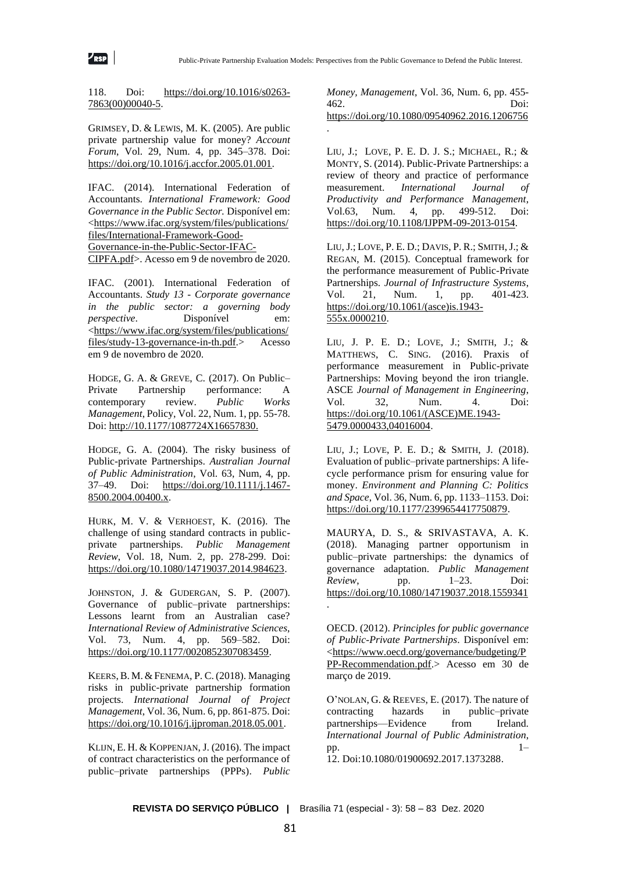118. Doi: [https://doi.org/10.1016/s0263-](https://doi.org/10.1016/s0263-7863(00)00040-5) [7863\(00\)00040-5.](https://doi.org/10.1016/s0263-7863(00)00040-5)

 $\mathcal{L}_{\sf RSP}$ 

GRIMSEY, D. & LEWIS, M. K. (2005). Are public private partnership value for money? *Account Forum*, Vol. 29, Num. 4, pp. 345–378. Doi: [https://doi.org/10.1016/j.accfor.2005.01.001.](https://doi.org/10.1016/j.accfor.2005.01.001)

IFAC. (2014). International Federation of Accountants. *International Framework: Good Governance in the Public Sector.* Disponível em: [<https://www.ifac.org/system/files/publications/](https://www.ifac.org/system/files/publications/files/International-Framework-Good-Governance-in-the-Public-Sector-IFAC-CIPFA.pdf) [files/International-Framework-Good-](https://www.ifac.org/system/files/publications/files/International-Framework-Good-Governance-in-the-Public-Sector-IFAC-CIPFA.pdf)[Governance-in-the-Public-Sector-IFAC-](https://www.ifac.org/system/files/publications/files/International-Framework-Good-Governance-in-the-Public-Sector-IFAC-CIPFA.pdf)[CIPFA.pdf>](https://www.ifac.org/system/files/publications/files/International-Framework-Good-Governance-in-the-Public-Sector-IFAC-CIPFA.pdf). Acesso em 9 de novembro de 2020.

IFAC. (2001). International Federation of Accountants. *Study 13 - Corporate governance in the public sector: a governing body perspective.* Disponível em: [<https://www.ifac.org/system/files/publications/](https://www.ifac.org/system/files/publications/files/study-13-governance-in-th.pdf) [files/study-13-governance-in-th.pdf.](https://www.ifac.org/system/files/publications/files/study-13-governance-in-th.pdf)> Acesso em 9 de novembro de 2020.

HODGE, G. A. & GREVE, C. (2017). On Public– Private Partnership performance: A contemporary review. *Public Works Management*, Policy, Vol. 22, Num. 1, pp. 55-78. Doi: [http://10.1177/1087724X16657830.](http://10.0.4.153/1087724X16657830)

HODGE, G. A. (2004). The risky business of Public-private Partnerships. *Australian Journal of Public Administration*, Vol. 63, Num, 4, pp. 37–49. Doi: [https://doi.org/10.1111/j.1467-](https://doi.org/10.1111/j.1467-8500.2004.00400.x) [8500.2004.00400.x.](https://doi.org/10.1111/j.1467-8500.2004.00400.x)

HURK, M. V. & VERHOEST, K. (2016). The challenge of using standard contracts in publicprivate partnerships. *Public Management Review*, Vol. 18, Num. 2, pp. 278-299. Doi: [https://doi.org/10.1080/14719037.2014.984623.](https://doi.org/10.1080/14719037.2014.984623)

JOHNSTON, J. & GUDERGAN, S. P. (2007). Governance of public–private partnerships: Lessons learnt from an Australian case? *International Review of Administrative Sciences*, Vol. 73, Num. 4, pp. 569–582. Doi: [https://doi.org/10.1177/0020852307083459.](https://doi.org/10.1177/0020852307083459)

KEERS, B. M. & FENEMA, P. C. (2018). Managing risks in public-private partnership formation projects. *International Journal of Project Management*, Vol. 36, Num. 6, pp. 861-875. Doi: [https://doi.org/10.1016/j.ijproman.2018.05.001.](https://doi.org/10.1016/j.ijproman.2018.05.001)

KLIJN, E. H. & KOPPENJAN, J. (2016). The impact of contract characteristics on the performance of public–private partnerships (PPPs). *Public* 

*Money, Management*, Vol. 36, Num. 6, pp. 455- 462. Doi: <https://doi.org/10.1080/09540962.2016.1206756> .

LIU, J.; LOVE, P. E. D. J. S.; MICHAEL, R.; & MONTY, S. (2014). Public-Private Partnerships: a review of theory and practice of performance measurement. *International Journal of Productivity and Performance Management*, Vol.63, Num. 4, pp. 499-512. Doi: [https://doi.org/10.1108/IJPPM-09-2013-0154.](https://doi.org/10.1108/IJPPM-09-2013-0154)

LIU, J.; LOVE, P. E. D.; DAVIS, P. R.; SMITH, J.; & REGAN, M. (2015). Conceptual framework for the performance measurement of Public-Private Partnerships. *Journal of Infrastructure Systems*, Vol. 21, Num. 1, pp. 401-423. [https://doi.org/10.1061/\(asce\)is.1943-](https://doi.org/10.1061/(asce)is.1943-555x.0000210) [555x.0000210.](https://doi.org/10.1061/(asce)is.1943-555x.0000210)

LIU, J. P. E. D.; LOVE, J.; SMITH, J.; & MATTHEWS, C. SING. (2016). Praxis of performance measurement in Public-private Partnerships: Moving beyond the iron triangle. ASCE *Journal of Management in Engineering*, Vol. 32, Num. 4. Doi: [https://doi.org/10.1061/\(ASCE\)ME.1943-](https://doi.org/10.1061/(ASCE)ME.1943-5479.0000433,04016004) [5479.0000433,04016004.](https://doi.org/10.1061/(ASCE)ME.1943-5479.0000433,04016004)

LIU, J.; LOVE, P. E. D.; & SMITH, J. (2018). Evaluation of public–private partnerships: A lifecycle performance prism for ensuring value for money. *Environment and Planning C: Politics and Space*, Vol. 36, Num. 6, pp. 1133–1153. Doi: [https://doi.org/10.1177/2399654417750879.](https://doi.org/10.1177/2399654417750879)

MAURYA, D. S., & SRIVASTAVA, A. K. (2018). Managing partner opportunism in public–private partnerships: the dynamics of governance adaptation. *Public Management Review*, pp. 1–23. Doi: <https://doi.org/10.1080/14719037.2018.1559341> .

OECD. (2012). *Principles for public governance of Public-Private Partnerships*. Disponível em: [<https://www.oecd.org/governance/budgeting/P](https://www.oecd.org/governance/budgeting/PPP-Recommendation.pdf) [PP-Recommendation.pdf.](https://www.oecd.org/governance/budgeting/PPP-Recommendation.pdf)> Acesso em 30 de março de 2019.

O'NOLAN, G. & REEVES, E. (2017). The nature of contracting hazards in public–private partnerships—Evidence from Ireland. *International Journal of Public Administration*,  $pp.$  1–

12. Doi:10.1080/01900692.2017.1373288.

**REVISTA DO SERVIÇO PÚBLICO |** Brasília 71 (especial - 3): 58 – 83 Dez. 2020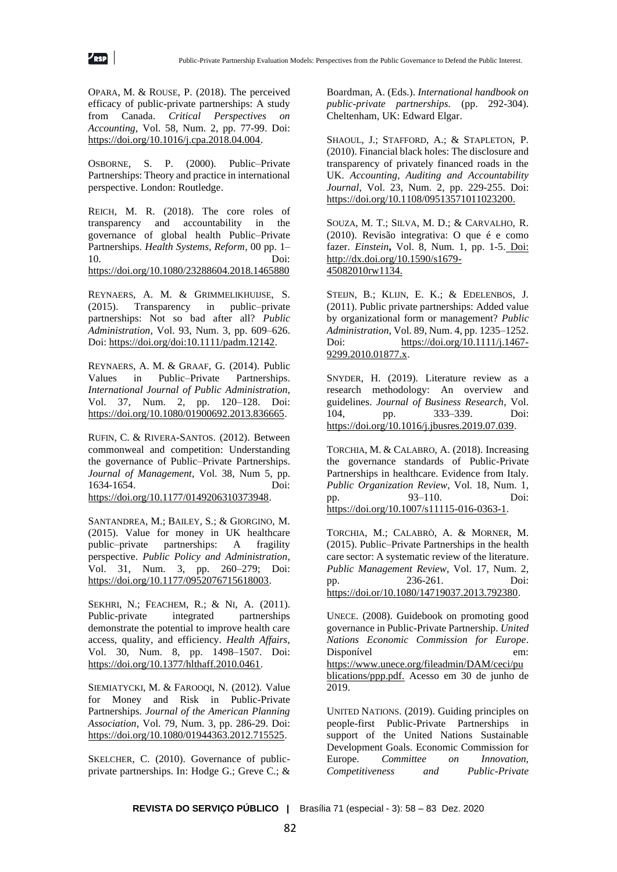OPARA, M. & ROUSE, P. (2018). The perceived efficacy of public-private partnerships: A study from Canada. *Critical Perspectives on Accounting*, Vol. 58, Num. 2, pp. 77-99. Doi: [https://doi.org/10.1016/j.cpa.2018.04.004.](https://doi.org/10.1016/j.cpa.2018.04.004)

OSBORNE, S. P. (2000). Public–Private Partnerships: Theory and practice in international perspective. London: Routledge.

REICH, M. R. (2018). The core roles of transparency and accountability in the governance of global health Public–Private Partnerships. *Health Systems, Reform*, 00 pp. 1– 10. Doi: <https://doi.org/10.1080/23288604.2018.1465880>

REYNAERS, A. M. & GRIMMELIKHUIJSE, S. (2015). Transparency in public–private partnerships: Not so bad after all? *Public Administration*, Vol. 93, Num. 3, pp. 609–626. Doi: [https://doi.org/doi:10.1111/padm.12142.](https://doi.org/doi:10.1111/padm.12142)

REYNAERS, A. M. & GRAAF, G. (2014). Public Values in Public–Private Partnerships. *International Journal of Public Administration*, Vol. 37, Num. 2, pp. 120–128. Doi: [https://doi.org/10.1080/01900692.2013.836665.](https://doi.org/10.1080/01900692.2013.836665)

RUFIN, C. & RIVERA-SANTOS. (2012). Between commonweal and competition: Understanding the governance of Public–Private Partnerships. *Journal of Management*, Vol. 38, Num 5, pp. 1634-1654. Doi: [https://doi.org/10.1177/0149206310373948.](https://doi.org/10.1177/0149206310373948)

SANTANDREA, M.; BAILEY, S.; & GIORGINO, M. (2015). Value for money in UK healthcare public–private partnerships: A fragility perspective. *Public Policy and Administration*, Vol. 31, Num. 3, pp. 260–279; Doi: [https://doi.org/10.1177/0952076715618003.](https://doi.org/10.1177/0952076715618003)

SEKHRI, N.; FEACHEM, R.; & NI, A. (2011). Public-private integrated partnerships demonstrate the potential to improve health care access, quality, and efficiency. *Health Affairs*, Vol. 30, Num. 8, pp. 1498–1507. Doi: [https://doi.org/10.1377/hlthaff.2010.0461.](https://doi.org/10.1377/hlthaff.2010.0461)

SIEMIATYCKI, M. & FAROOOI, N. (2012). Value for Money and Risk in Public-Private Partnerships. *Journal of the American Planning Association*, Vol. 79, Num. 3, pp. 286-29. Doi: [https://doi.org/10.1080/01944363.2012.715525.](https://doi.org/10.1080/01944363.2012.715525)

SKELCHER, C. (2010). Governance of publicprivate partnerships. In: Hodge G.; Greve C.; &

Boardman, A. (Eds.). *International handbook on public-private partnerships.* (pp. 292-304). Cheltenham, UK: Edward Elgar.

SHAOUL, J.; STAFFORD, A.; & STAPLETON, P. (2010). Financial black holes: The disclosure and transparency of privately financed roads in the UK. *Accounting, Auditing and Accountability Journal*, Vol. 23, Num. 2, pp. 229-255. Doi: [https://doi.org/10.1108/09513571011023200.](https://doi.org/10.1108/09513571011023200)

SOUZA, M. T.; SILVA, M. D.; & CARVALHO, R. (2010). Revisão integrativa: O que é e como fazer. *Einstein***,** Vol. 8, Num. 1, pp. 1-5. Doi: [http://dx.doi.org/10.1590/s1679-](http://dx.doi.org/10.1590/s1679-45082010rw1134) [45082010rw1134.](http://dx.doi.org/10.1590/s1679-45082010rw1134)

STEIJN, B.; KLIJN, E. K.; & EDELENBOS, J. (2011). Public private partnerships: Added value by organizational form or management? *Public Administration*, Vol. 89, Num. 4, pp. 1235–1252. Doi: [https://doi.org/10.1111/j.1467-](https://doi.org/10.1111/j.1467-9299.2010.01877.x) [9299.2010.01877.x.](https://doi.org/10.1111/j.1467-9299.2010.01877.x)

SNYDER, H. (2019). Literature review as a research methodology: An overview and guidelines. *Journal of Business Research*, Vol. 104, pp. 333–339. Doi: [https://doi.org/10.1016/j.jbusres.2019.07.039.](https://doi.org/10.1016/j.jbusres.2019.07.039)

TORCHIA, M. & CALABRO, A. (2018). Increasing the governance standards of Public-Private Partnerships in healthcare. Evidence from Italy. *Public Organization Review*, Vol. 18, Num. 1, pp. 93–110. Doi: [https://doi.org/10.1007/s11115-016-0363-1.](https://doi.org/10.1007/s11115-016-0363-1)

TORCHIA, M.; CALABRÒ, A. & MORNER, M. (2015). Public–Private Partnerships in the health care sector: A systematic review of the literature. *Public Management Review*, Vol. 17, Num. 2, pp. 236-261. Doi: [https://doi.or/10.1080/14719037.2013.792380.](https://doi.or/10.1080/14719037.2013.792380)

UNECE. (2008). Guidebook on promoting good governance in Public-Private Partnership. *United Nations Economic Commission for Europe*. Disponível em: [https://www.unece.org/fileadmin/DAM/ceci/pu](https://www.unece.org/fileadmin/DAM/ceci/publications/ppp.pdf.) [blications/ppp.pdf.](https://www.unece.org/fileadmin/DAM/ceci/publications/ppp.pdf.) Acesso em 30 de junho de 2019.

UNITED NATIONS. (2019). Guiding principles on people-first Public-Private Partnerships in support of the United Nations Sustainable Development Goals. Economic Commission for Europe. *Committee on Innovation, Competitiveness and Public-Private*